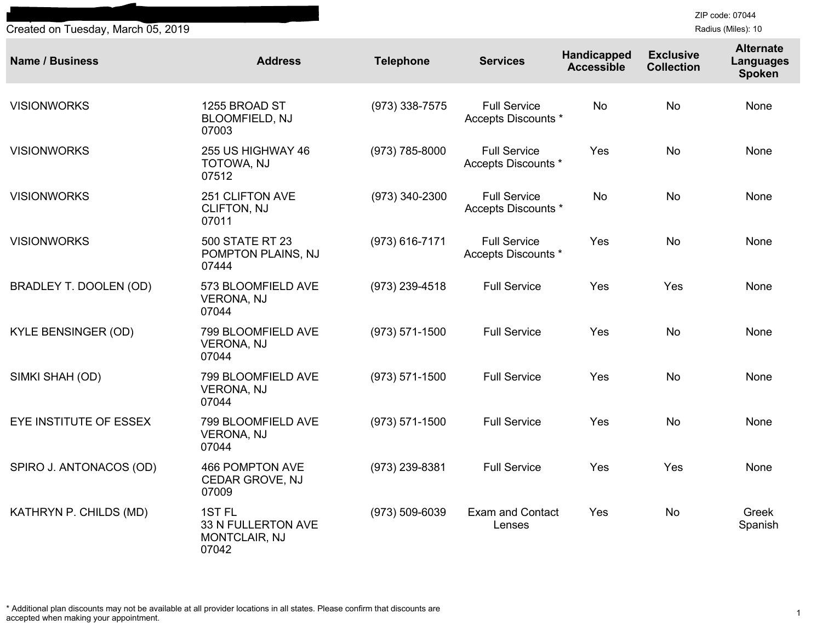**Independence Blue Cross Vision Participating Provider List** Created on Tuesday, March 05, 2019

ZIP code: 07044 Radius (Miles): 10

| <b>Name / Business</b>     | <b>Address</b>                                                    | <b>Telephone</b>   | <b>Services</b>                            | Handicapped<br><b>Accessible</b> | <b>Exclusive</b><br><b>Collection</b> | <b>Alternate</b><br><b>Languages</b><br><b>Spoken</b> |
|----------------------------|-------------------------------------------------------------------|--------------------|--------------------------------------------|----------------------------------|---------------------------------------|-------------------------------------------------------|
| <b>VISIONWORKS</b>         | 1255 BROAD ST<br><b>BLOOMFIELD, NJ</b><br>07003                   | (973) 338-7575     | <b>Full Service</b><br>Accepts Discounts * | <b>No</b>                        | <b>No</b>                             | None                                                  |
| <b>VISIONWORKS</b>         | 255 US HIGHWAY 46<br>TOTOWA, NJ<br>07512                          | (973) 785-8000     | <b>Full Service</b><br>Accepts Discounts * | Yes                              | <b>No</b>                             | None                                                  |
| <b>VISIONWORKS</b>         | <b>251 CLIFTON AVE</b><br><b>CLIFTON, NJ</b><br>07011             | (973) 340-2300     | <b>Full Service</b><br>Accepts Discounts * | <b>No</b>                        | <b>No</b>                             | None                                                  |
| <b>VISIONWORKS</b>         | <b>500 STATE RT 23</b><br>POMPTON PLAINS, NJ<br>07444             | $(973) 616 - 7171$ | <b>Full Service</b><br>Accepts Discounts * | Yes                              | <b>No</b>                             | None                                                  |
| BRADLEY T. DOOLEN (OD)     | 573 BLOOMFIELD AVE<br><b>VERONA, NJ</b><br>07044                  | (973) 239-4518     | <b>Full Service</b>                        | Yes                              | Yes                                   | None                                                  |
| <b>KYLE BENSINGER (OD)</b> | 799 BLOOMFIELD AVE<br><b>VERONA, NJ</b><br>07044                  | $(973) 571 - 1500$ | <b>Full Service</b>                        | Yes                              | <b>No</b>                             | None                                                  |
| SIMKI SHAH (OD)            | 799 BLOOMFIELD AVE<br><b>VERONA, NJ</b><br>07044                  | $(973) 571 - 1500$ | <b>Full Service</b>                        | Yes                              | <b>No</b>                             | None                                                  |
| EYE INSTITUTE OF ESSEX     | 799 BLOOMFIELD AVE<br><b>VERONA, NJ</b><br>07044                  | $(973) 571 - 1500$ | <b>Full Service</b>                        | Yes                              | No                                    | None                                                  |
| SPIRO J. ANTONACOS (OD)    | 466 POMPTON AVE<br>CEDAR GROVE, NJ<br>07009                       | (973) 239-8381     | <b>Full Service</b>                        | Yes                              | Yes                                   | None                                                  |
| KATHRYN P. CHILDS (MD)     | 1ST <sub>FL</sub><br>33 N FULLERTON AVE<br>MONTCLAIR, NJ<br>07042 | $(973) 509 - 6039$ | <b>Exam and Contact</b><br>Lenses          | Yes                              | <b>No</b>                             | Greek<br>Spanish                                      |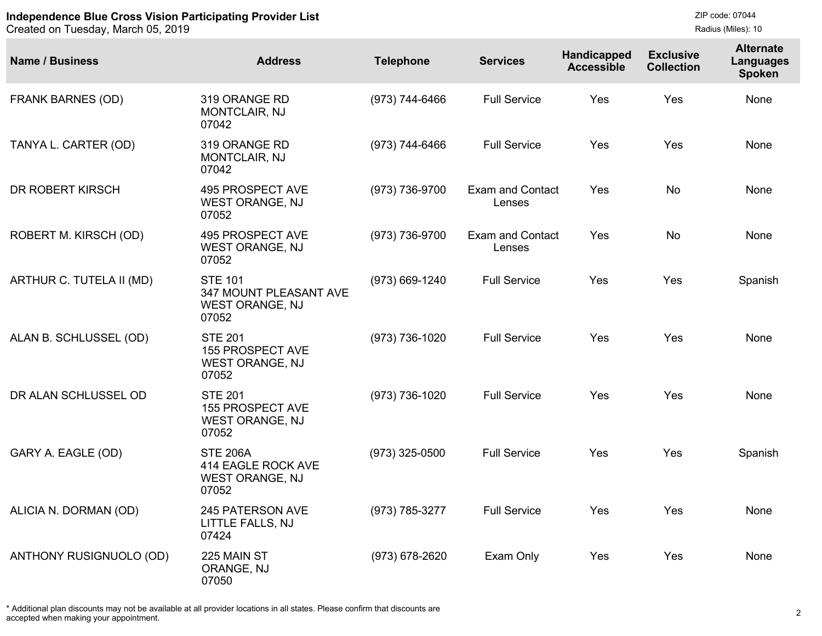Created on Tuesday, March 05, 2019

| <b>Name / Business</b>   | <b>Address</b>                                                                     | <b>Telephone</b> | <b>Services</b>                   | Handicapped<br><b>Accessible</b> | <b>Exclusive</b><br><b>Collection</b> | <b>Alternate</b><br>Languages<br>Spoken |
|--------------------------|------------------------------------------------------------------------------------|------------------|-----------------------------------|----------------------------------|---------------------------------------|-----------------------------------------|
| <b>FRANK BARNES (OD)</b> | 319 ORANGE RD<br>MONTCLAIR, NJ<br>07042                                            | (973) 744-6466   | <b>Full Service</b>               | Yes                              | Yes                                   | None                                    |
| TANYA L. CARTER (OD)     | 319 ORANGE RD<br>MONTCLAIR, NJ<br>07042                                            | (973) 744-6466   | <b>Full Service</b>               | Yes                              | Yes                                   | None                                    |
| DR ROBERT KIRSCH         | <b>495 PROSPECT AVE</b><br>WEST ORANGE, NJ<br>07052                                | (973) 736-9700   | <b>Exam and Contact</b><br>Lenses | Yes                              | <b>No</b>                             | None                                    |
| ROBERT M. KIRSCH (OD)    | 495 PROSPECT AVE<br><b>WEST ORANGE, NJ</b><br>07052                                | (973) 736-9700   | <b>Exam and Contact</b><br>Lenses | Yes                              | <b>No</b>                             | None                                    |
| ARTHUR C. TUTELA II (MD) | <b>STE 101</b><br><b>347 MOUNT PLEASANT AVE</b><br><b>WEST ORANGE, NJ</b><br>07052 | (973) 669-1240   | <b>Full Service</b>               | Yes                              | Yes                                   | Spanish                                 |
| ALAN B. SCHLUSSEL (OD)   | <b>STE 201</b><br><b>155 PROSPECT AVE</b><br><b>WEST ORANGE, NJ</b><br>07052       | (973) 736-1020   | <b>Full Service</b>               | Yes                              | Yes                                   | None                                    |
| DR ALAN SCHLUSSEL OD     | <b>STE 201</b><br>155 PROSPECT AVE<br><b>WEST ORANGE, NJ</b><br>07052              | (973) 736-1020   | <b>Full Service</b>               | Yes                              | Yes                                   | None                                    |
| GARY A. EAGLE (OD)       | <b>STE 206A</b><br>414 EAGLE ROCK AVE<br><b>WEST ORANGE, NJ</b><br>07052           | $(973)$ 325-0500 | <b>Full Service</b>               | Yes                              | Yes                                   | Spanish                                 |
| ALICIA N. DORMAN (OD)    | 245 PATERSON AVE<br>LITTLE FALLS, NJ<br>07424                                      | (973) 785-3277   | <b>Full Service</b>               | Yes                              | Yes                                   | None                                    |
| ANTHONY RUSIGNUOLO (OD)  | 225 MAIN ST<br>ORANGE, NJ<br>07050                                                 | (973) 678-2620   | Exam Only                         | Yes                              | Yes                                   | None                                    |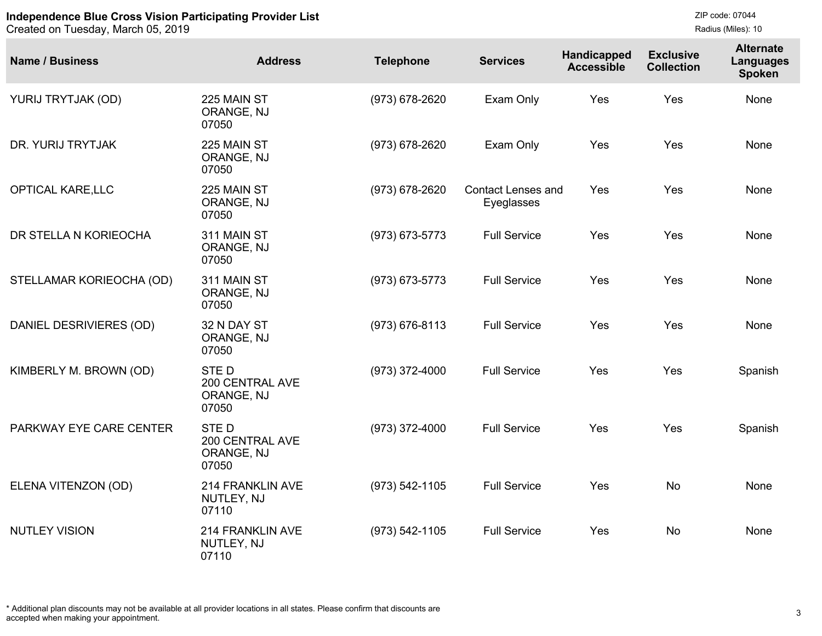```
ZIP code: 07044
Radius (Miles): 10
```

| <b>Name / Business</b>   | <b>Address</b>                                        | <b>Telephone</b>   | <b>Services</b>                         | Handicapped<br><b>Accessible</b> | <b>Exclusive</b><br><b>Collection</b> | <b>Alternate</b><br><b>Languages</b><br><b>Spoken</b> |
|--------------------------|-------------------------------------------------------|--------------------|-----------------------------------------|----------------------------------|---------------------------------------|-------------------------------------------------------|
| YURIJ TRYTJAK (OD)       | 225 MAIN ST<br>ORANGE, NJ<br>07050                    | (973) 678-2620     | Exam Only                               | Yes                              | Yes                                   | None                                                  |
| DR. YURIJ TRYTJAK        | 225 MAIN ST<br>ORANGE, NJ<br>07050                    | (973) 678-2620     | Exam Only                               | Yes                              | Yes                                   | None                                                  |
| <b>OPTICAL KARE, LLC</b> | 225 MAIN ST<br>ORANGE, NJ<br>07050                    | (973) 678-2620     | <b>Contact Lenses and</b><br>Eyeglasses | Yes                              | Yes                                   | None                                                  |
| DR STELLA N KORIEOCHA    | 311 MAIN ST<br>ORANGE, NJ<br>07050                    | (973) 673-5773     | <b>Full Service</b>                     | Yes                              | Yes                                   | None                                                  |
| STELLAMAR KORIEOCHA (OD) | 311 MAIN ST<br>ORANGE, NJ<br>07050                    | $(973) 673 - 5773$ | <b>Full Service</b>                     | Yes                              | Yes                                   | None                                                  |
| DANIEL DESRIVIERES (OD)  | 32 N DAY ST<br>ORANGE, NJ<br>07050                    | $(973) 676 - 8113$ | <b>Full Service</b>                     | Yes                              | Yes                                   | None                                                  |
| KIMBERLY M. BROWN (OD)   | <b>STED</b><br>200 CENTRAL AVE<br>ORANGE, NJ<br>07050 | (973) 372-4000     | <b>Full Service</b>                     | Yes                              | Yes                                   | Spanish                                               |
| PARKWAY EYE CARE CENTER  | <b>STED</b><br>200 CENTRAL AVE<br>ORANGE, NJ<br>07050 | (973) 372-4000     | <b>Full Service</b>                     | Yes                              | Yes                                   | Spanish                                               |
| ELENA VITENZON (OD)      | 214 FRANKLIN AVE<br>NUTLEY, NJ<br>07110               | $(973) 542 - 1105$ | <b>Full Service</b>                     | Yes                              | <b>No</b>                             | None                                                  |
| <b>NUTLEY VISION</b>     | 214 FRANKLIN AVE<br>NUTLEY, NJ<br>07110               | (973) 542-1105     | <b>Full Service</b>                     | Yes                              | <b>No</b>                             | None                                                  |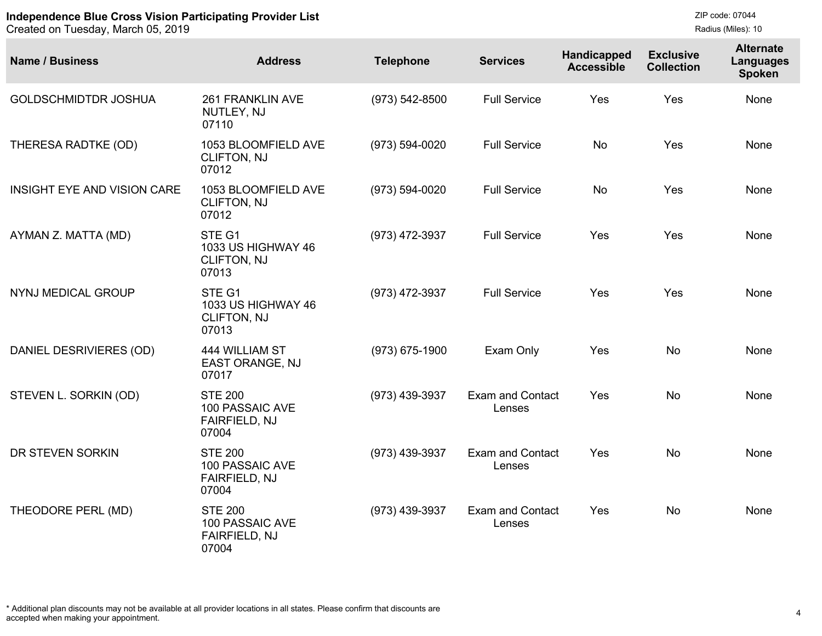Created on Tuesday, March 05, 2019

| <b>Name / Business</b>             | <b>Address</b>                                                     | <b>Telephone</b>   | <b>Services</b>                   | Handicapped<br><b>Accessible</b> | <b>Exclusive</b><br><b>Collection</b> | <b>Alternate</b><br><b>Languages</b><br><b>Spoken</b> |
|------------------------------------|--------------------------------------------------------------------|--------------------|-----------------------------------|----------------------------------|---------------------------------------|-------------------------------------------------------|
| <b>GOLDSCHMIDTDR JOSHUA</b>        | 261 FRANKLIN AVE<br>NUTLEY, NJ<br>07110                            | $(973) 542 - 8500$ | <b>Full Service</b>               | Yes                              | Yes                                   | None                                                  |
| THERESA RADTKE (OD)                | 1053 BLOOMFIELD AVE<br><b>CLIFTON, NJ</b><br>07012                 | (973) 594-0020     | <b>Full Service</b>               | <b>No</b>                        | Yes                                   | None                                                  |
| <b>INSIGHT EYE AND VISION CARE</b> | 1053 BLOOMFIELD AVE<br>CLIFTON, NJ<br>07012                        | (973) 594-0020     | <b>Full Service</b>               | <b>No</b>                        | Yes                                   | None                                                  |
| AYMAN Z. MATTA (MD)                | STE G1<br>1033 US HIGHWAY 46<br><b>CLIFTON, NJ</b><br>07013        | (973) 472-3937     | <b>Full Service</b>               | Yes                              | Yes                                   | None                                                  |
| NYNJ MEDICAL GROUP                 | STE G1<br>1033 US HIGHWAY 46<br><b>CLIFTON, NJ</b><br>07013        | (973) 472-3937     | <b>Full Service</b>               | Yes                              | Yes                                   | None                                                  |
| DANIEL DESRIVIERES (OD)            | 444 WILLIAM ST<br><b>EAST ORANGE, NJ</b><br>07017                  | $(973) 675 - 1900$ | Exam Only                         | Yes                              | <b>No</b>                             | None                                                  |
| STEVEN L. SORKIN (OD)              | <b>STE 200</b><br><b>100 PASSAIC AVE</b><br>FAIRFIELD, NJ<br>07004 | (973) 439-3937     | <b>Exam and Contact</b><br>Lenses | Yes                              | <b>No</b>                             | None                                                  |
| DR STEVEN SORKIN                   | <b>STE 200</b><br>100 PASSAIC AVE<br><b>FAIRFIELD, NJ</b><br>07004 | (973) 439-3937     | <b>Exam and Contact</b><br>Lenses | Yes                              | <b>No</b>                             | None                                                  |
| THEODORE PERL (MD)                 | <b>STE 200</b><br>100 PASSAIC AVE<br>FAIRFIELD, NJ<br>07004        | (973) 439-3937     | <b>Exam and Contact</b><br>Lenses | Yes                              | <b>No</b>                             | None                                                  |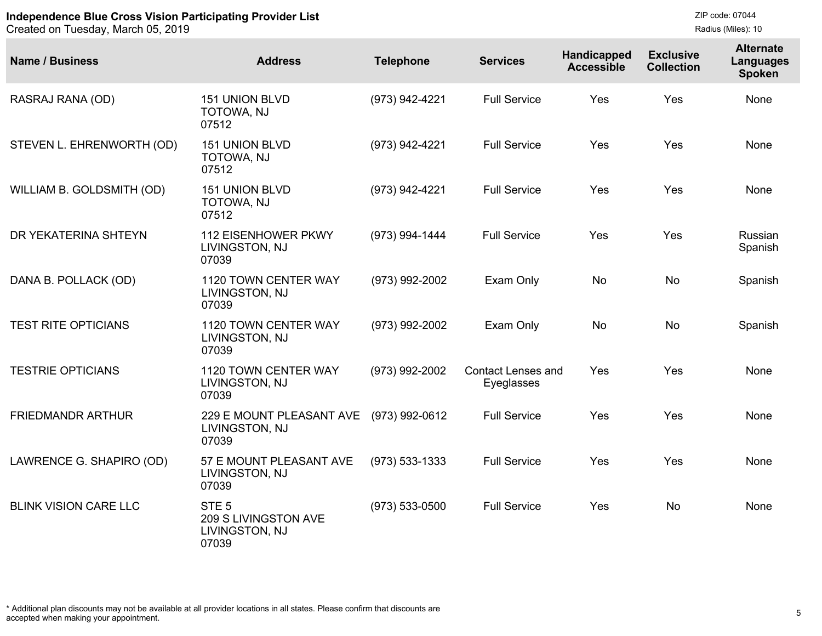| <b>Name / Business</b>       | <b>Address</b>                                                      | <b>Telephone</b>   | <b>Services</b>                         | Handicapped<br><b>Accessible</b> | <b>Exclusive</b><br><b>Collection</b> | <b>Alternate</b><br>Languages<br><b>Spoken</b> |
|------------------------------|---------------------------------------------------------------------|--------------------|-----------------------------------------|----------------------------------|---------------------------------------|------------------------------------------------|
| RASRAJ RANA (OD)             | <b>151 UNION BLVD</b><br>TOTOWA, NJ<br>07512                        | (973) 942-4221     | <b>Full Service</b>                     | Yes                              | Yes                                   | None                                           |
| STEVEN L. EHRENWORTH (OD)    | <b>151 UNION BLVD</b><br>TOTOWA, NJ<br>07512                        | (973) 942-4221     | <b>Full Service</b>                     | Yes                              | Yes                                   | None                                           |
| WILLIAM B. GOLDSMITH (OD)    | <b>151 UNION BLVD</b><br>TOTOWA, NJ<br>07512                        | (973) 942-4221     | <b>Full Service</b>                     | Yes                              | Yes                                   | None                                           |
| DR YEKATERINA SHTEYN         | <b>112 EISENHOWER PKWY</b><br>LIVINGSTON, NJ<br>07039               | (973) 994-1444     | <b>Full Service</b>                     | Yes                              | Yes                                   | Russian<br>Spanish                             |
| DANA B. POLLACK (OD)         | 1120 TOWN CENTER WAY<br>LIVINGSTON, NJ<br>07039                     | (973) 992-2002     | Exam Only                               | <b>No</b>                        | <b>No</b>                             | Spanish                                        |
| <b>TEST RITE OPTICIANS</b>   | 1120 TOWN CENTER WAY<br>LIVINGSTON, NJ<br>07039                     | (973) 992-2002     | Exam Only                               | <b>No</b>                        | No                                    | Spanish                                        |
| <b>TESTRIE OPTICIANS</b>     | 1120 TOWN CENTER WAY<br>LIVINGSTON, NJ<br>07039                     | (973) 992-2002     | <b>Contact Lenses and</b><br>Eyeglasses | Yes                              | Yes                                   | None                                           |
| <b>FRIEDMANDR ARTHUR</b>     | 229 E MOUNT PLEASANT AVE<br>LIVINGSTON, NJ<br>07039                 | (973) 992-0612     | <b>Full Service</b>                     | Yes                              | Yes                                   | None                                           |
| LAWRENCE G. SHAPIRO (OD)     | 57 E MOUNT PLEASANT AVE<br>LIVINGSTON, NJ<br>07039                  | $(973) 533 - 1333$ | <b>Full Service</b>                     | Yes                              | Yes                                   | None                                           |
| <b>BLINK VISION CARE LLC</b> | STE <sub>5</sub><br>209 S LIVINGSTON AVE<br>LIVINGSTON, NJ<br>07039 | $(973) 533 - 0500$ | <b>Full Service</b>                     | Yes                              | <b>No</b>                             | None                                           |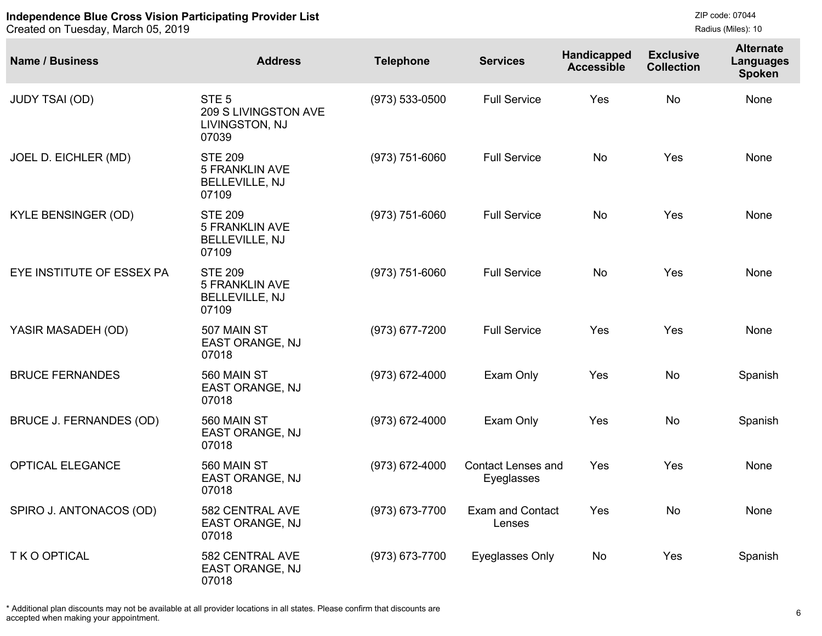Created on Tuesday, March 05, 2019

| <b>Name / Business</b>     | <b>Address</b>                                                            | <b>Telephone</b>   | <b>Services</b>                         | Handicapped<br><b>Accessible</b> | <b>Exclusive</b><br><b>Collection</b> | <b>Alternate</b><br><b>Languages</b><br><b>Spoken</b> |
|----------------------------|---------------------------------------------------------------------------|--------------------|-----------------------------------------|----------------------------------|---------------------------------------|-------------------------------------------------------|
| <b>JUDY TSAI (OD)</b>      | STE <sub>5</sub><br>209 S LIVINGSTON AVE<br>LIVINGSTON, NJ<br>07039       | $(973) 533 - 0500$ | <b>Full Service</b>                     | Yes                              | <b>No</b>                             | None                                                  |
| JOEL D. EICHLER (MD)       | <b>STE 209</b><br><b>5 FRANKLIN AVE</b><br><b>BELLEVILLE, NJ</b><br>07109 | $(973) 751 - 6060$ | <b>Full Service</b>                     | No                               | Yes                                   | None                                                  |
| <b>KYLE BENSINGER (OD)</b> | <b>STE 209</b><br><b>5 FRANKLIN AVE</b><br><b>BELLEVILLE, NJ</b><br>07109 | $(973) 751 - 6060$ | <b>Full Service</b>                     | No                               | Yes                                   | None                                                  |
| EYE INSTITUTE OF ESSEX PA  | <b>STE 209</b><br><b>5 FRANKLIN AVE</b><br><b>BELLEVILLE, NJ</b><br>07109 | $(973) 751 - 6060$ | <b>Full Service</b>                     | No                               | Yes                                   | None                                                  |
| YASIR MASADEH (OD)         | 507 MAIN ST<br>EAST ORANGE, NJ<br>07018                                   | $(973)$ 677-7200   | <b>Full Service</b>                     | Yes                              | Yes                                   | None                                                  |
| <b>BRUCE FERNANDES</b>     | 560 MAIN ST<br>EAST ORANGE, NJ<br>07018                                   | $(973) 672 - 4000$ | Exam Only                               | Yes                              | <b>No</b>                             | Spanish                                               |
| BRUCE J. FERNANDES (OD)    | 560 MAIN ST<br>EAST ORANGE, NJ<br>07018                                   | $(973)$ 672-4000   | Exam Only                               | Yes                              | No                                    | Spanish                                               |
| OPTICAL ELEGANCE           | 560 MAIN ST<br>EAST ORANGE, NJ<br>07018                                   | $(973)$ 672-4000   | <b>Contact Lenses and</b><br>Eyeglasses | Yes                              | Yes                                   | None                                                  |
| SPIRO J. ANTONACOS (OD)    | 582 CENTRAL AVE<br><b>EAST ORANGE, NJ</b><br>07018                        | (973) 673-7700     | <b>Exam and Contact</b><br>Lenses       | Yes                              | No                                    | None                                                  |
| T K O OPTICAL              | 582 CENTRAL AVE<br>EAST ORANGE, NJ<br>07018                               | (973) 673-7700     | Eyeglasses Only                         | No                               | Yes                                   | Spanish                                               |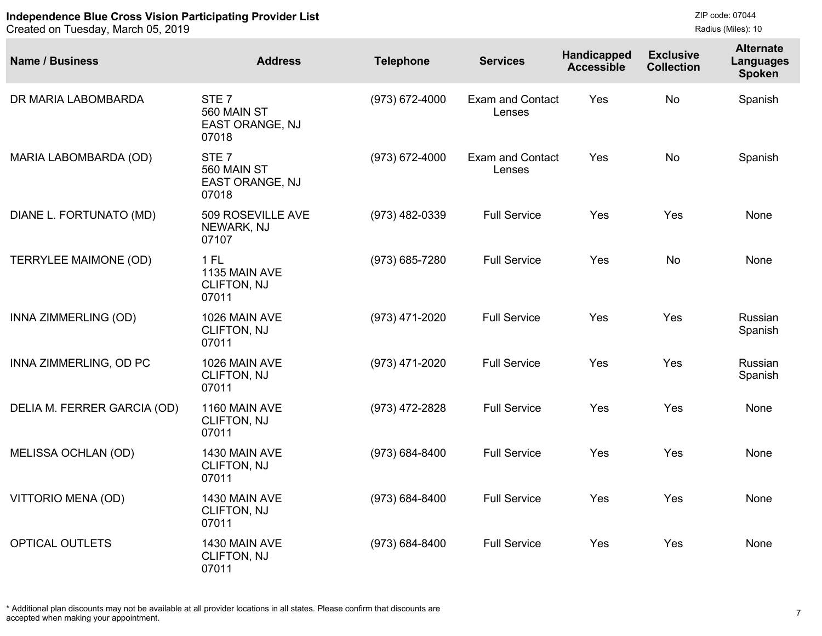Created on Tuesday, March 05, 2019

```
ZIP code: 07044
Radius (Miles): 10
```

| <b>Name / Business</b>       | <b>Address</b>                                                     | <b>Telephone</b> | <b>Services</b>                   | Handicapped<br><b>Accessible</b> | <b>Exclusive</b><br><b>Collection</b> | <b>Alternate</b><br><b>Languages</b><br><b>Spoken</b> |
|------------------------------|--------------------------------------------------------------------|------------------|-----------------------------------|----------------------------------|---------------------------------------|-------------------------------------------------------|
| DR MARIA LABOMBARDA          | STE <sub>7</sub><br>560 MAIN ST<br><b>EAST ORANGE, NJ</b><br>07018 | (973) 672-4000   | <b>Exam and Contact</b><br>Lenses | Yes                              | <b>No</b>                             | Spanish                                               |
| MARIA LABOMBARDA (OD)        | STE <sub>7</sub><br>560 MAIN ST<br>EAST ORANGE, NJ<br>07018        | (973) 672-4000   | <b>Exam and Contact</b><br>Lenses | Yes                              | <b>No</b>                             | Spanish                                               |
| DIANE L. FORTUNATO (MD)      | 509 ROSEVILLE AVE<br>NEWARK, NJ<br>07107                           | (973) 482-0339   | <b>Full Service</b>               | Yes                              | Yes                                   | None                                                  |
| <b>TERRYLEE MAIMONE (OD)</b> | $1$ FL<br>1135 MAIN AVE<br><b>CLIFTON, NJ</b><br>07011             | (973) 685-7280   | <b>Full Service</b>               | Yes                              | <b>No</b>                             | None                                                  |
| INNA ZIMMERLING (OD)         | 1026 MAIN AVE<br><b>CLIFTON, NJ</b><br>07011                       | (973) 471-2020   | <b>Full Service</b>               | Yes                              | Yes                                   | Russian<br>Spanish                                    |
| INNA ZIMMERLING, OD PC       | 1026 MAIN AVE<br><b>CLIFTON, NJ</b><br>07011                       | (973) 471-2020   | <b>Full Service</b>               | Yes                              | Yes                                   | Russian<br>Spanish                                    |
| DELIA M. FERRER GARCIA (OD)  | 1160 MAIN AVE<br><b>CLIFTON, NJ</b><br>07011                       | (973) 472-2828   | <b>Full Service</b>               | Yes                              | Yes                                   | None                                                  |
| MELISSA OCHLAN (OD)          | 1430 MAIN AVE<br><b>CLIFTON, NJ</b><br>07011                       | (973) 684-8400   | <b>Full Service</b>               | Yes                              | Yes                                   | None                                                  |
| VITTORIO MENA (OD)           | 1430 MAIN AVE<br><b>CLIFTON, NJ</b><br>07011                       | (973) 684-8400   | <b>Full Service</b>               | Yes                              | Yes                                   | None                                                  |
| OPTICAL OUTLETS              | 1430 MAIN AVE<br><b>CLIFTON, NJ</b><br>07011                       | (973) 684-8400   | <b>Full Service</b>               | Yes                              | Yes                                   | None                                                  |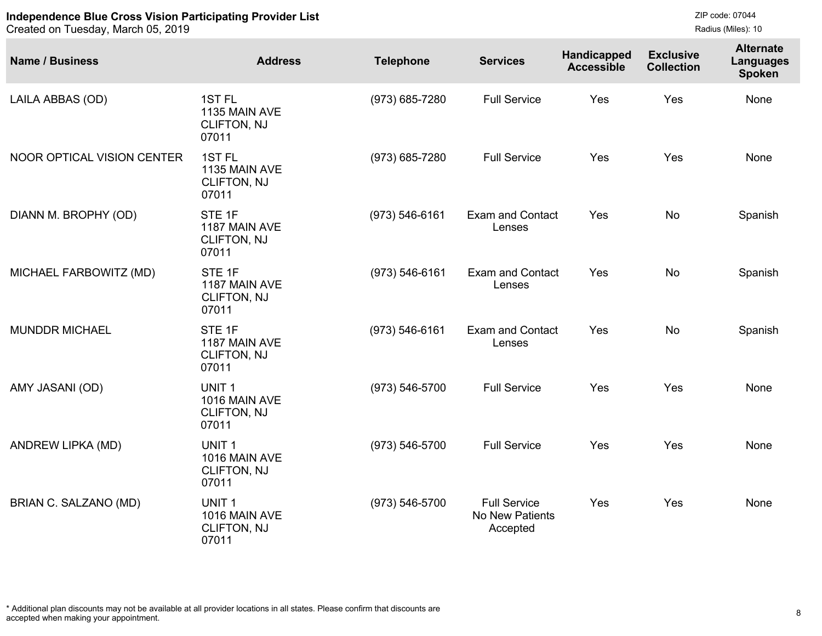| <b>Name / Business</b>     | <b>Address</b>                                                    | <b>Telephone</b>   | <b>Services</b>                                    | Handicapped<br><b>Accessible</b> | <b>Exclusive</b><br><b>Collection</b> | <b>Alternate</b><br><b>Languages</b><br><b>Spoken</b> |
|----------------------------|-------------------------------------------------------------------|--------------------|----------------------------------------------------|----------------------------------|---------------------------------------|-------------------------------------------------------|
| LAILA ABBAS (OD)           | 1ST <sub>FL</sub><br>1135 MAIN AVE<br><b>CLIFTON, NJ</b><br>07011 | (973) 685-7280     | <b>Full Service</b>                                | Yes                              | Yes                                   | None                                                  |
| NOOR OPTICAL VISION CENTER | 1ST <sub>FL</sub><br>1135 MAIN AVE<br><b>CLIFTON, NJ</b><br>07011 | (973) 685-7280     | <b>Full Service</b>                                | Yes                              | Yes                                   | None                                                  |
| DIANN M. BROPHY (OD)       | STE 1F<br>1187 MAIN AVE<br>CLIFTON, NJ<br>07011                   | $(973) 546 - 6161$ | <b>Exam and Contact</b><br>Lenses                  | Yes                              | <b>No</b>                             | Spanish                                               |
| MICHAEL FARBOWITZ (MD)     | STE 1F<br>1187 MAIN AVE<br><b>CLIFTON, NJ</b><br>07011            | $(973) 546 - 6161$ | <b>Exam and Contact</b><br>Lenses                  | Yes                              | <b>No</b>                             | Spanish                                               |
| <b>MUNDDR MICHAEL</b>      | STE <sub>1F</sub><br>1187 MAIN AVE<br><b>CLIFTON, NJ</b><br>07011 | $(973) 546 - 6161$ | <b>Exam and Contact</b><br>Lenses                  | Yes                              | <b>No</b>                             | Spanish                                               |
| AMY JASANI (OD)            | UNIT <sub>1</sub><br>1016 MAIN AVE<br>CLIFTON, NJ<br>07011        | (973) 546-5700     | <b>Full Service</b>                                | Yes                              | Yes                                   | None                                                  |
| ANDREW LIPKA (MD)          | UNIT <sub>1</sub><br>1016 MAIN AVE<br>CLIFTON, NJ<br>07011        | (973) 546-5700     | <b>Full Service</b>                                | Yes                              | Yes                                   | None                                                  |
| BRIAN C. SALZANO (MD)      | UNIT <sub>1</sub><br>1016 MAIN AVE<br><b>CLIFTON, NJ</b><br>07011 | (973) 546-5700     | <b>Full Service</b><br>No New Patients<br>Accepted | Yes                              | Yes                                   | None                                                  |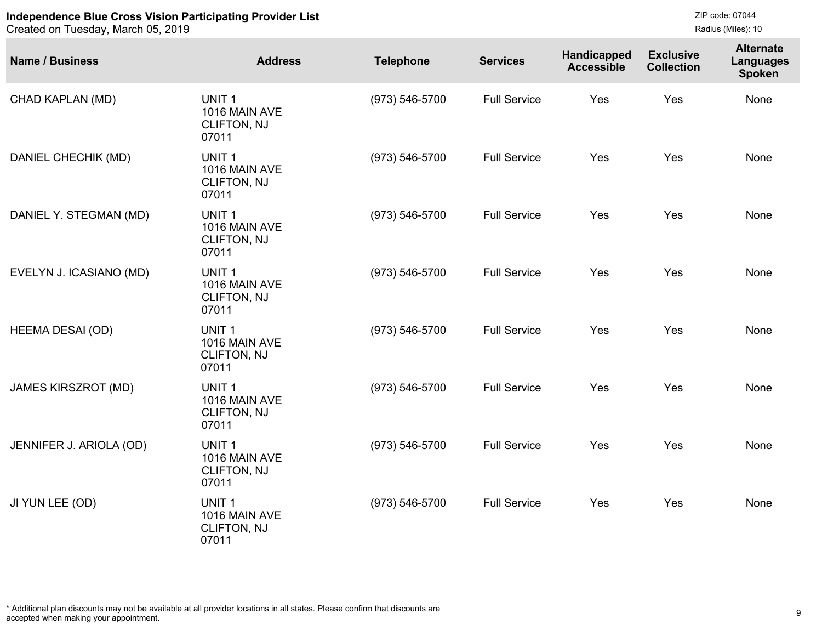| <b>Name / Business</b>     | <b>Address</b>                                                    | <b>Telephone</b>   | <b>Services</b>     | Handicapped<br><b>Accessible</b> | <b>Exclusive</b><br><b>Collection</b> | <b>Alternate</b><br><b>Languages</b><br><b>Spoken</b> |
|----------------------------|-------------------------------------------------------------------|--------------------|---------------------|----------------------------------|---------------------------------------|-------------------------------------------------------|
| CHAD KAPLAN (MD)           | UNIT <sub>1</sub><br>1016 MAIN AVE<br>CLIFTON, NJ<br>07011        | (973) 546-5700     | <b>Full Service</b> | Yes                              | Yes                                   | None                                                  |
| DANIEL CHECHIK (MD)        | UNIT <sub>1</sub><br>1016 MAIN AVE<br>CLIFTON, NJ<br>07011        | $(973) 546 - 5700$ | <b>Full Service</b> | Yes                              | Yes                                   | None                                                  |
| DANIEL Y. STEGMAN (MD)     | UNIT <sub>1</sub><br>1016 MAIN AVE<br>CLIFTON, NJ<br>07011        | (973) 546-5700     | <b>Full Service</b> | Yes                              | Yes                                   | None                                                  |
| EVELYN J. ICASIANO (MD)    | UNIT <sub>1</sub><br>1016 MAIN AVE<br>CLIFTON, NJ<br>07011        | $(973) 546 - 5700$ | <b>Full Service</b> | Yes                              | Yes                                   | None                                                  |
| <b>HEEMA DESAI (OD)</b>    | UNIT <sub>1</sub><br>1016 MAIN AVE<br>CLIFTON, NJ<br>07011        | (973) 546-5700     | <b>Full Service</b> | Yes                              | Yes                                   | None                                                  |
| <b>JAMES KIRSZROT (MD)</b> | UNIT <sub>1</sub><br>1016 MAIN AVE<br>CLIFTON, NJ<br>07011        | $(973) 546 - 5700$ | <b>Full Service</b> | Yes                              | Yes                                   | None                                                  |
| JENNIFER J. ARIOLA (OD)    | UNIT <sub>1</sub><br>1016 MAIN AVE<br><b>CLIFTON, NJ</b><br>07011 | (973) 546-5700     | <b>Full Service</b> | Yes                              | Yes                                   | None                                                  |
| JI YUN LEE (OD)            | UNIT <sub>1</sub><br>1016 MAIN AVE<br>CLIFTON, NJ<br>07011        | $(973) 546 - 5700$ | <b>Full Service</b> | Yes                              | Yes                                   | None                                                  |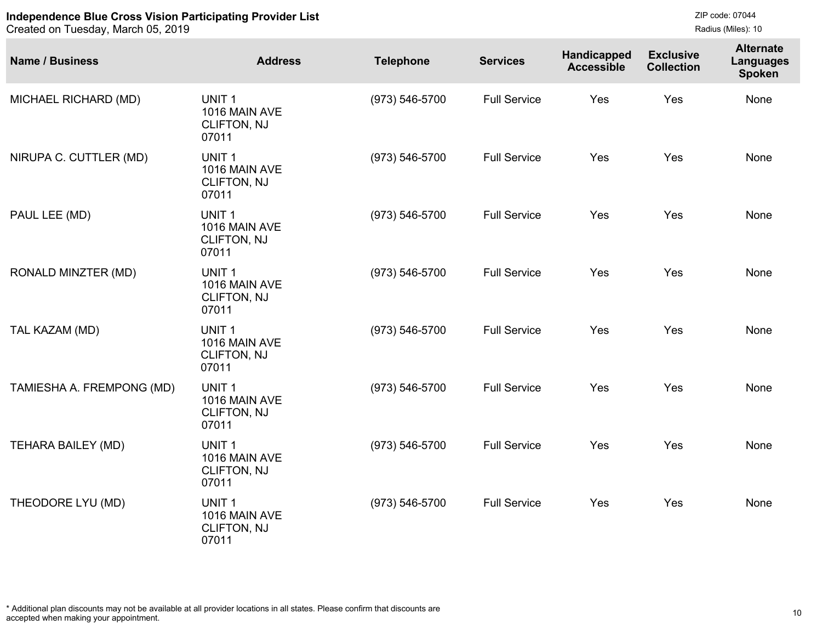Created on Tuesday, March 05, 2019

| <b>Name / Business</b>    | <b>Address</b>                                                    | <b>Telephone</b>   | <b>Services</b>     | Handicapped<br><b>Accessible</b> | <b>Exclusive</b><br><b>Collection</b> | <b>Alternate</b><br><b>Languages</b><br><b>Spoken</b> |
|---------------------------|-------------------------------------------------------------------|--------------------|---------------------|----------------------------------|---------------------------------------|-------------------------------------------------------|
| MICHAEL RICHARD (MD)      | UNIT <sub>1</sub><br>1016 MAIN AVE<br>CLIFTON, NJ<br>07011        | (973) 546-5700     | <b>Full Service</b> | Yes                              | Yes                                   | None                                                  |
| NIRUPA C. CUTTLER (MD)    | UNIT <sub>1</sub><br>1016 MAIN AVE<br><b>CLIFTON, NJ</b><br>07011 | (973) 546-5700     | <b>Full Service</b> | Yes                              | Yes                                   | None                                                  |
| PAUL LEE (MD)             | UNIT <sub>1</sub><br>1016 MAIN AVE<br>CLIFTON, NJ<br>07011        | (973) 546-5700     | <b>Full Service</b> | Yes                              | Yes                                   | None                                                  |
| RONALD MINZTER (MD)       | UNIT <sub>1</sub><br>1016 MAIN AVE<br>CLIFTON, NJ<br>07011        | (973) 546-5700     | <b>Full Service</b> | Yes                              | Yes                                   | None                                                  |
| TAL KAZAM (MD)            | UNIT <sub>1</sub><br>1016 MAIN AVE<br>CLIFTON, NJ<br>07011        | (973) 546-5700     | <b>Full Service</b> | Yes                              | Yes                                   | None                                                  |
| TAMIESHA A. FREMPONG (MD) | UNIT <sub>1</sub><br>1016 MAIN AVE<br><b>CLIFTON, NJ</b><br>07011 | (973) 546-5700     | <b>Full Service</b> | Yes                              | Yes                                   | None                                                  |
| <b>TEHARA BAILEY (MD)</b> | UNIT <sub>1</sub><br>1016 MAIN AVE<br><b>CLIFTON, NJ</b><br>07011 | $(973) 546 - 5700$ | <b>Full Service</b> | Yes                              | Yes                                   | None                                                  |
| THEODORE LYU (MD)         | UNIT <sub>1</sub><br>1016 MAIN AVE<br><b>CLIFTON, NJ</b><br>07011 | (973) 546-5700     | <b>Full Service</b> | Yes                              | Yes                                   | None                                                  |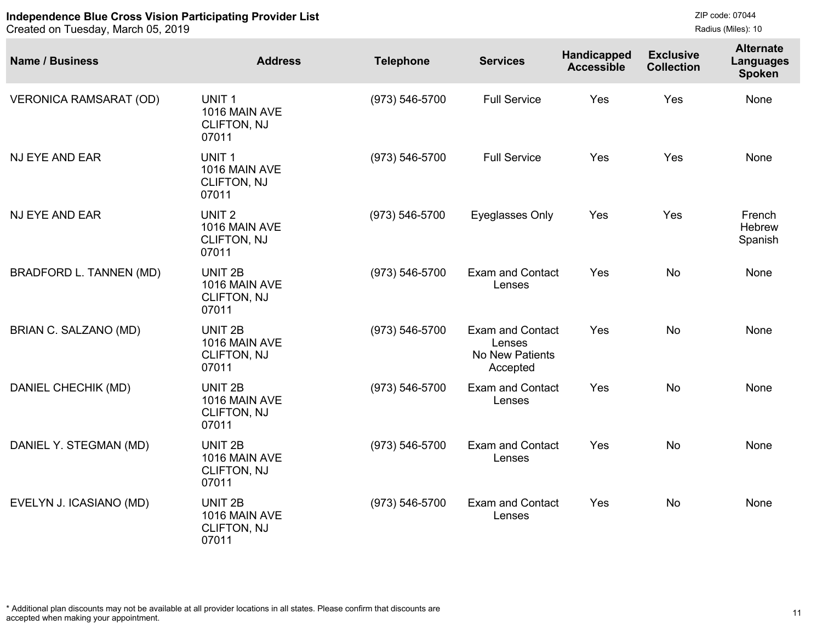Created on Tuesday, March 05, 2019

```
ZIP code: 07044
Radius (Miles): 10
```

| <b>Name / Business</b>        | <b>Address</b>                                                     | <b>Telephone</b>   | <b>Services</b>                                                  | Handicapped<br><b>Accessible</b> | <b>Exclusive</b><br><b>Collection</b> | <b>Alternate</b><br><b>Languages</b><br><b>Spoken</b> |
|-------------------------------|--------------------------------------------------------------------|--------------------|------------------------------------------------------------------|----------------------------------|---------------------------------------|-------------------------------------------------------|
| <b>VERONICA RAMSARAT (OD)</b> | UNIT <sub>1</sub><br>1016 MAIN AVE<br>CLIFTON, NJ<br>07011         | (973) 546-5700     | <b>Full Service</b>                                              | Yes                              | Yes                                   | None                                                  |
| NJ EYE AND EAR                | UNIT <sub>1</sub><br>1016 MAIN AVE<br><b>CLIFTON, NJ</b><br>07011  | (973) 546-5700     | <b>Full Service</b>                                              | Yes                              | Yes                                   | None                                                  |
| NJ EYE AND EAR                | UNIT <sub>2</sub><br>1016 MAIN AVE<br>CLIFTON, NJ<br>07011         | (973) 546-5700     | Eyeglasses Only                                                  | Yes                              | Yes                                   | French<br>Hebrew<br>Spanish                           |
| BRADFORD L. TANNEN (MD)       | UNIT <sub>2B</sub><br>1016 MAIN AVE<br><b>CLIFTON, NJ</b><br>07011 | $(973) 546 - 5700$ | <b>Exam and Contact</b><br>Lenses                                | Yes                              | <b>No</b>                             | None                                                  |
| BRIAN C. SALZANO (MD)         | UNIT <sub>2B</sub><br>1016 MAIN AVE<br><b>CLIFTON, NJ</b><br>07011 | (973) 546-5700     | <b>Exam and Contact</b><br>Lenses<br>No New Patients<br>Accepted | Yes                              | <b>No</b>                             | None                                                  |
| DANIEL CHECHIK (MD)           | UNIT <sub>2B</sub><br>1016 MAIN AVE<br><b>CLIFTON, NJ</b><br>07011 | (973) 546-5700     | <b>Exam and Contact</b><br>Lenses                                | Yes                              | <b>No</b>                             | None                                                  |
| DANIEL Y. STEGMAN (MD)        | UNIT <sub>2B</sub><br>1016 MAIN AVE<br>CLIFTON, NJ<br>07011        | $(973) 546 - 5700$ | <b>Exam and Contact</b><br>Lenses                                | Yes                              | <b>No</b>                             | None                                                  |
| EVELYN J. ICASIANO (MD)       | UNIT <sub>2B</sub><br>1016 MAIN AVE<br><b>CLIFTON, NJ</b><br>07011 | (973) 546-5700     | <b>Exam and Contact</b><br>Lenses                                | Yes                              | <b>No</b>                             | None                                                  |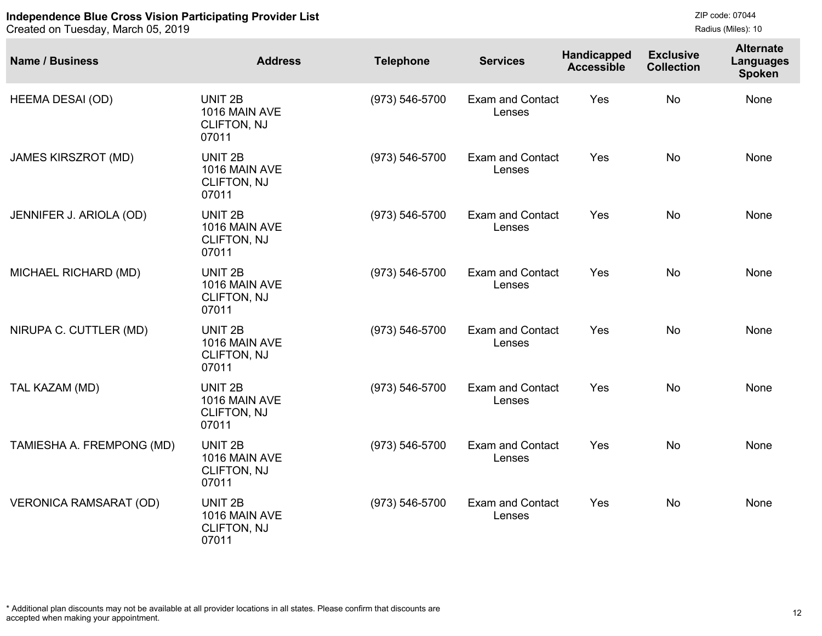```
ZIP code: 07044
Radius (Miles): 10
```

| <b>Name / Business</b>        | <b>Address</b>                                                     | <b>Telephone</b>   | <b>Services</b>                   | Handicapped<br><b>Accessible</b> | <b>Exclusive</b><br><b>Collection</b> | <b>Alternate</b><br><b>Languages</b><br><b>Spoken</b> |
|-------------------------------|--------------------------------------------------------------------|--------------------|-----------------------------------|----------------------------------|---------------------------------------|-------------------------------------------------------|
| <b>HEEMA DESAI (OD)</b>       | UNIT <sub>2B</sub><br>1016 MAIN AVE<br>CLIFTON, NJ<br>07011        | $(973) 546 - 5700$ | <b>Exam and Contact</b><br>Lenses | Yes                              | <b>No</b>                             | None                                                  |
| <b>JAMES KIRSZROT (MD)</b>    | UNIT <sub>2B</sub><br>1016 MAIN AVE<br>CLIFTON, NJ<br>07011        | $(973) 546 - 5700$ | <b>Exam and Contact</b><br>Lenses | Yes                              | <b>No</b>                             | None                                                  |
| JENNIFER J. ARIOLA (OD)       | UNIT <sub>2B</sub><br>1016 MAIN AVE<br><b>CLIFTON, NJ</b><br>07011 | (973) 546-5700     | <b>Exam and Contact</b><br>Lenses | Yes                              | <b>No</b>                             | None                                                  |
| MICHAEL RICHARD (MD)          | UNIT <sub>2B</sub><br>1016 MAIN AVE<br>CLIFTON, NJ<br>07011        | (973) 546-5700     | <b>Exam and Contact</b><br>Lenses | Yes                              | <b>No</b>                             | None                                                  |
| NIRUPA C. CUTTLER (MD)        | UNIT <sub>2B</sub><br>1016 MAIN AVE<br><b>CLIFTON, NJ</b><br>07011 | (973) 546-5700     | <b>Exam and Contact</b><br>Lenses | Yes                              | <b>No</b>                             | None                                                  |
| TAL KAZAM (MD)                | UNIT <sub>2B</sub><br>1016 MAIN AVE<br>CLIFTON, NJ<br>07011        | $(973) 546 - 5700$ | <b>Exam and Contact</b><br>Lenses | Yes                              | <b>No</b>                             | None                                                  |
| TAMIESHA A. FREMPONG (MD)     | UNIT <sub>2B</sub><br>1016 MAIN AVE<br><b>CLIFTON, NJ</b><br>07011 | (973) 546-5700     | <b>Exam and Contact</b><br>Lenses | Yes                              | <b>No</b>                             | None                                                  |
| <b>VERONICA RAMSARAT (OD)</b> | UNIT <sub>2B</sub><br>1016 MAIN AVE<br><b>CLIFTON, NJ</b><br>07011 | $(973) 546 - 5700$ | <b>Exam and Contact</b><br>Lenses | Yes                              | <b>No</b>                             | None                                                  |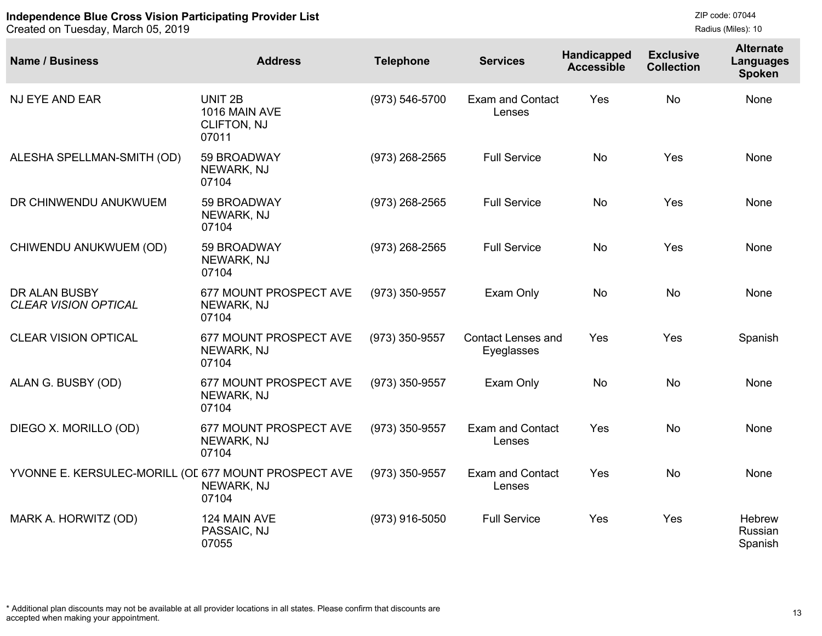```
ZIP code: 07044
Radius (Miles): 10
```

| <b>Name / Business</b>                               | <b>Address</b>                                                     | <b>Telephone</b> | <b>Services</b>                         | Handicapped<br><b>Accessible</b> | <b>Exclusive</b><br><b>Collection</b> | <b>Alternate</b><br>Languages<br><b>Spoken</b> |
|------------------------------------------------------|--------------------------------------------------------------------|------------------|-----------------------------------------|----------------------------------|---------------------------------------|------------------------------------------------|
| <b>NJ EYE AND EAR</b>                                | UNIT <sub>2B</sub><br>1016 MAIN AVE<br><b>CLIFTON, NJ</b><br>07011 | (973) 546-5700   | <b>Exam and Contact</b><br>Lenses       | Yes                              | <b>No</b>                             | None                                           |
| ALESHA SPELLMAN-SMITH (OD)                           | 59 BROADWAY<br>NEWARK, NJ<br>07104                                 | (973) 268-2565   | <b>Full Service</b>                     | <b>No</b>                        | Yes                                   | None                                           |
| DR CHINWENDU ANUKWUEM                                | 59 BROADWAY<br>NEWARK, NJ<br>07104                                 | (973) 268-2565   | <b>Full Service</b>                     | <b>No</b>                        | Yes                                   | None                                           |
| CHIWENDU ANUKWUEM (OD)                               | 59 BROADWAY<br>NEWARK, NJ<br>07104                                 | $(973)$ 268-2565 | <b>Full Service</b>                     | <b>No</b>                        | Yes                                   | None                                           |
| DR ALAN BUSBY<br><b>CLEAR VISION OPTICAL</b>         | 677 MOUNT PROSPECT AVE<br>NEWARK, NJ<br>07104                      | (973) 350-9557   | Exam Only                               | <b>No</b>                        | <b>No</b>                             | None                                           |
| <b>CLEAR VISION OPTICAL</b>                          | 677 MOUNT PROSPECT AVE<br>NEWARK, NJ<br>07104                      | (973) 350-9557   | <b>Contact Lenses and</b><br>Eyeglasses | Yes                              | Yes                                   | Spanish                                        |
| ALAN G. BUSBY (OD)                                   | 677 MOUNT PROSPECT AVE<br>NEWARK, NJ<br>07104                      | (973) 350-9557   | Exam Only                               | No                               | <b>No</b>                             | None                                           |
| DIEGO X. MORILLO (OD)                                | 677 MOUNT PROSPECT AVE<br>NEWARK, NJ<br>07104                      | (973) 350-9557   | <b>Exam and Contact</b><br>Lenses       | Yes                              | <b>No</b>                             | None                                           |
| YVONNE E. KERSULEC-MORILL (OL 677 MOUNT PROSPECT AVE | NEWARK, NJ<br>07104                                                | (973) 350-9557   | <b>Exam and Contact</b><br>Lenses       | Yes                              | <b>No</b>                             | None                                           |
| MARK A. HORWITZ (OD)                                 | 124 MAIN AVE<br>PASSAIC, NJ<br>07055                               | $(973)$ 916-5050 | <b>Full Service</b>                     | Yes                              | Yes                                   | Hebrew<br>Russian<br>Spanish                   |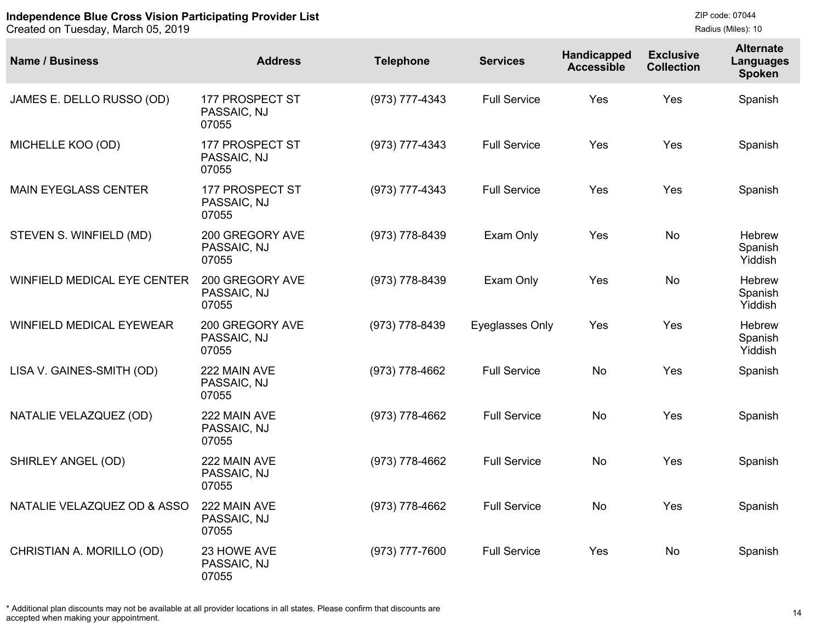Created on Tuesday, March 05, 2019

| <b>Name / Business</b>          | <b>Address</b>                          | <b>Telephone</b> | <b>Services</b>     | Handicapped<br><b>Accessible</b> | <b>Exclusive</b><br><b>Collection</b> | <b>Alternate</b><br><b>Languages</b><br>Spoken |
|---------------------------------|-----------------------------------------|------------------|---------------------|----------------------------------|---------------------------------------|------------------------------------------------|
| JAMES E. DELLO RUSSO (OD)       | 177 PROSPECT ST<br>PASSAIC, NJ<br>07055 | (973) 777-4343   | <b>Full Service</b> | Yes                              | Yes                                   | Spanish                                        |
| MICHELLE KOO (OD)               | 177 PROSPECT ST<br>PASSAIC, NJ<br>07055 | (973) 777-4343   | <b>Full Service</b> | Yes                              | Yes                                   | Spanish                                        |
| <b>MAIN EYEGLASS CENTER</b>     | 177 PROSPECT ST<br>PASSAIC, NJ<br>07055 | (973) 777-4343   | <b>Full Service</b> | Yes                              | Yes                                   | Spanish                                        |
| STEVEN S. WINFIELD (MD)         | 200 GREGORY AVE<br>PASSAIC, NJ<br>07055 | (973) 778-8439   | Exam Only           | Yes                              | <b>No</b>                             | Hebrew<br>Spanish<br>Yiddish                   |
| WINFIELD MEDICAL EYE CENTER     | 200 GREGORY AVE<br>PASSAIC, NJ<br>07055 | (973) 778-8439   | Exam Only           | Yes                              | <b>No</b>                             | Hebrew<br>Spanish<br>Yiddish                   |
| <b>WINFIELD MEDICAL EYEWEAR</b> | 200 GREGORY AVE<br>PASSAIC, NJ<br>07055 | (973) 778-8439   | Eyeglasses Only     | <b>Yes</b>                       | Yes                                   | Hebrew<br>Spanish<br>Yiddish                   |
| LISA V. GAINES-SMITH (OD)       | 222 MAIN AVE<br>PASSAIC, NJ<br>07055    | (973) 778-4662   | <b>Full Service</b> | No.                              | <b>Yes</b>                            | Spanish                                        |
| NATALIE VELAZQUEZ (OD)          | 222 MAIN AVE<br>PASSAIC, NJ<br>07055    | (973) 778-4662   | <b>Full Service</b> | <b>No</b>                        | <b>Yes</b>                            | Spanish                                        |
| SHIRLEY ANGEL (OD)              | 222 MAIN AVE<br>PASSAIC, NJ<br>07055    | (973) 778-4662   | <b>Full Service</b> | <b>No</b>                        | Yes                                   | Spanish                                        |
| NATALIE VELAZQUEZ OD & ASSO     | 222 MAIN AVE<br>PASSAIC, NJ<br>07055    | (973) 778-4662   | <b>Full Service</b> | <b>No</b>                        | Yes                                   | Spanish                                        |
| CHRISTIAN A. MORILLO (OD)       | 23 HOWE AVE<br>PASSAIC, NJ<br>07055     | (973) 777-7600   | <b>Full Service</b> | Yes                              | <b>No</b>                             | Spanish                                        |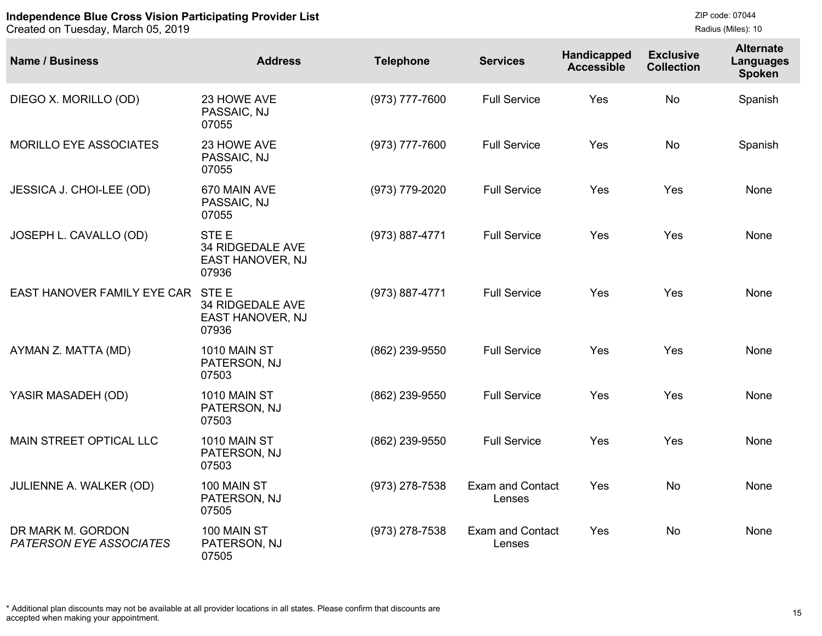| <b>Name / Business</b>                              | <b>Address</b>                                                           | <b>Telephone</b> | <b>Services</b>                   | Handicapped<br><b>Accessible</b> | <b>Exclusive</b><br><b>Collection</b> | <b>Alternate</b><br><b>Languages</b><br><b>Spoken</b> |
|-----------------------------------------------------|--------------------------------------------------------------------------|------------------|-----------------------------------|----------------------------------|---------------------------------------|-------------------------------------------------------|
| DIEGO X. MORILLO (OD)                               | 23 HOWE AVE<br>PASSAIC, NJ<br>07055                                      | (973) 777-7600   | <b>Full Service</b>               | Yes                              | <b>No</b>                             | Spanish                                               |
| MORILLO EYE ASSOCIATES                              | 23 HOWE AVE<br>PASSAIC, NJ<br>07055                                      | (973) 777-7600   | <b>Full Service</b>               | Yes                              | <b>No</b>                             | Spanish                                               |
| JESSICA J. CHOI-LEE (OD)                            | 670 MAIN AVE<br>PASSAIC, NJ<br>07055                                     | (973) 779-2020   | <b>Full Service</b>               | Yes                              | Yes                                   | None                                                  |
| JOSEPH L. CAVALLO (OD)                              | STE <sub>E</sub><br><b>34 RIDGEDALE AVE</b><br>EAST HANOVER, NJ<br>07936 | (973) 887-4771   | <b>Full Service</b>               | Yes                              | Yes                                   | None                                                  |
| EAST HANOVER FAMILY EYE CAR                         | STE E<br><b>34 RIDGEDALE AVE</b><br>EAST HANOVER, NJ<br>07936            | (973) 887-4771   | <b>Full Service</b>               | Yes                              | Yes                                   | None                                                  |
| AYMAN Z. MATTA (MD)                                 | <b>1010 MAIN ST</b><br>PATERSON, NJ<br>07503                             | (862) 239-9550   | <b>Full Service</b>               | Yes                              | Yes                                   | None                                                  |
| YASIR MASADEH (OD)                                  | <b>1010 MAIN ST</b><br>PATERSON, NJ<br>07503                             | (862) 239-9550   | <b>Full Service</b>               | Yes                              | Yes                                   | None                                                  |
| <b>MAIN STREET OPTICAL LLC</b>                      | <b>1010 MAIN ST</b><br>PATERSON, NJ<br>07503                             | (862) 239-9550   | <b>Full Service</b>               | Yes                              | Yes                                   | None                                                  |
| <b>JULIENNE A. WALKER (OD)</b>                      | 100 MAIN ST<br>PATERSON, NJ<br>07505                                     | (973) 278-7538   | <b>Exam and Contact</b><br>Lenses | Yes                              | <b>No</b>                             | None                                                  |
| DR MARK M. GORDON<br><b>PATERSON EYE ASSOCIATES</b> | 100 MAIN ST<br>PATERSON, NJ<br>07505                                     | (973) 278-7538   | Exam and Contact<br>Lenses        | Yes                              | <b>No</b>                             | None                                                  |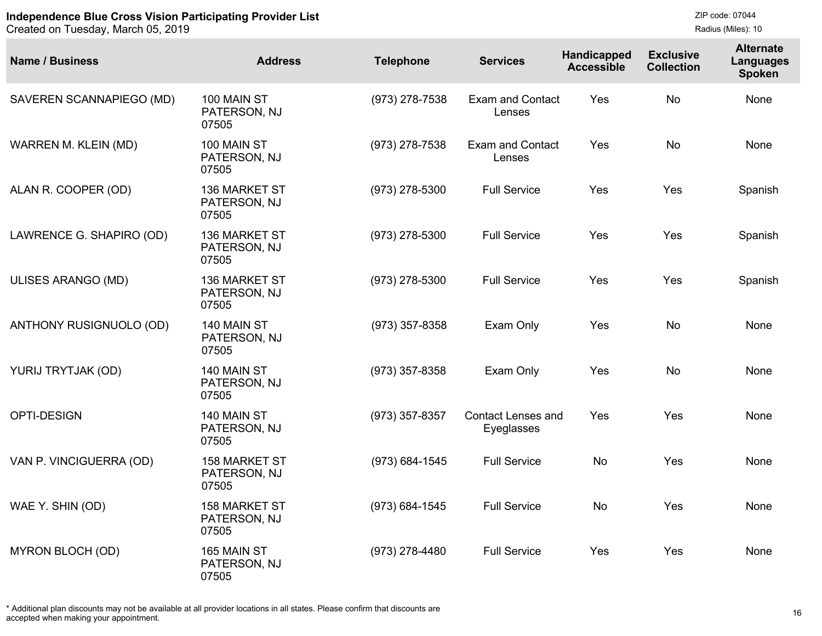Created on Tuesday, March 05, 2019

ZIP code: 07044 Radius (Miles): 10

| <b>Name / Business</b>   | <b>Address</b>                                | <b>Telephone</b> | <b>Services</b>                         | Handicapped<br><b>Accessible</b> | <b>Exclusive</b><br><b>Collection</b> | <b>Alternate</b><br><b>Languages</b><br><b>Spoken</b> |
|--------------------------|-----------------------------------------------|------------------|-----------------------------------------|----------------------------------|---------------------------------------|-------------------------------------------------------|
| SAVEREN SCANNAPIEGO (MD) | 100 MAIN ST<br>PATERSON, NJ<br>07505          | (973) 278-7538   | <b>Exam and Contact</b><br>Lenses       | Yes                              | <b>No</b>                             | None                                                  |
| WARREN M. KLEIN (MD)     | 100 MAIN ST<br>PATERSON, NJ<br>07505          | (973) 278-7538   | <b>Exam and Contact</b><br>Lenses       | Yes                              | <b>No</b>                             | None                                                  |
| ALAN R. COOPER (OD)      | 136 MARKET ST<br>PATERSON, NJ<br>07505        | $(973)$ 278-5300 | <b>Full Service</b>                     | Yes                              | Yes                                   | Spanish                                               |
| LAWRENCE G. SHAPIRO (OD) | 136 MARKET ST<br>PATERSON, NJ<br>07505        | (973) 278-5300   | <b>Full Service</b>                     | Yes                              | Yes                                   | Spanish                                               |
| ULISES ARANGO (MD)       | 136 MARKET ST<br>PATERSON, NJ<br>07505        | (973) 278-5300   | <b>Full Service</b>                     | Yes                              | Yes                                   | Spanish                                               |
| ANTHONY RUSIGNUOLO (OD)  | 140 MAIN ST<br>PATERSON, NJ<br>07505          | $(973)$ 357-8358 | Exam Only                               | Yes                              | <b>No</b>                             | None                                                  |
| YURIJ TRYTJAK (OD)       | 140 MAIN ST<br>PATERSON, NJ<br>07505          | (973) 357-8358   | Exam Only                               | <b>Yes</b>                       | <b>No</b>                             | None                                                  |
| <b>OPTI-DESIGN</b>       | 140 MAIN ST<br>PATERSON, NJ<br>07505          | (973) 357-8357   | <b>Contact Lenses and</b><br>Eyeglasses | <b>Yes</b>                       | Yes                                   | None                                                  |
| VAN P. VINCIGUERRA (OD)  | <b>158 MARKET ST</b><br>PATERSON, NJ<br>07505 | (973) 684-1545   | <b>Full Service</b>                     | <b>No</b>                        | Yes                                   | None                                                  |
| WAE Y. SHIN (OD)         | <b>158 MARKET ST</b><br>PATERSON, NJ<br>07505 | (973) 684-1545   | <b>Full Service</b>                     | <b>No</b>                        | Yes                                   | None                                                  |
| <b>MYRON BLOCH (OD)</b>  | 165 MAIN ST<br>PATERSON, NJ<br>07505          | (973) 278-4480   | <b>Full Service</b>                     | Yes                              | Yes                                   | None                                                  |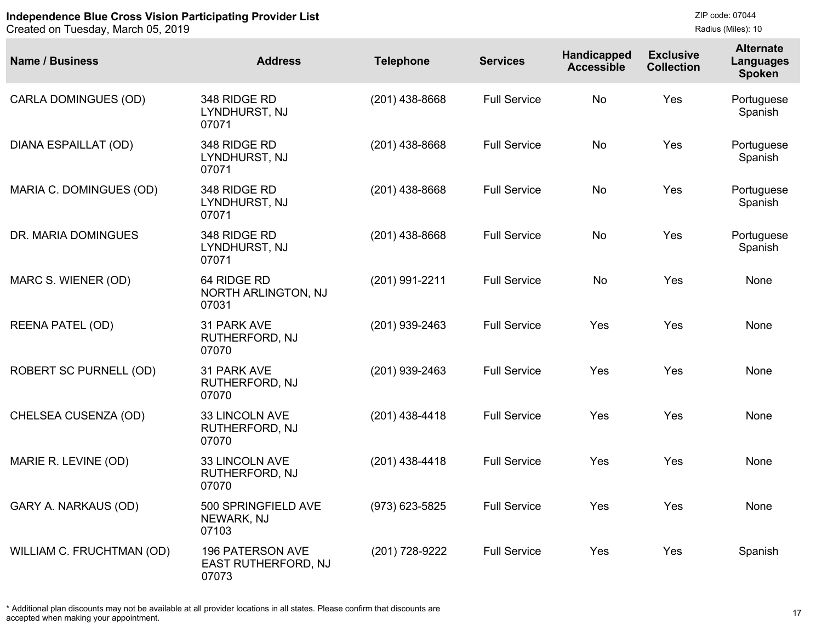Created on Tuesday, March 05, 2019

| <b>Name / Business</b>        | <b>Address</b>                                          | <b>Telephone</b> | <b>Services</b>     | <b>Handicapped</b><br><b>Accessible</b> | <b>Exclusive</b><br><b>Collection</b> | <b>Alternate</b><br><b>Languages</b><br><b>Spoken</b> |
|-------------------------------|---------------------------------------------------------|------------------|---------------------|-----------------------------------------|---------------------------------------|-------------------------------------------------------|
| <b>CARLA DOMINGUES (OD)</b>   | 348 RIDGE RD<br>LYNDHURST, NJ<br>07071                  | $(201)$ 438-8668 | <b>Full Service</b> | <b>No</b>                               | Yes                                   | Portuguese<br>Spanish                                 |
| <b>DIANA ESPAILLAT (OD)</b>   | 348 RIDGE RD<br>LYNDHURST, NJ<br>07071                  | $(201)$ 438-8668 | <b>Full Service</b> | <b>No</b>                               | Yes                                   | Portuguese<br>Spanish                                 |
| MARIA C. DOMINGUES (OD)       | 348 RIDGE RD<br>LYNDHURST, NJ<br>07071                  | $(201)$ 438-8668 | <b>Full Service</b> | <b>No</b>                               | Yes                                   | Portuguese<br>Spanish                                 |
| DR. MARIA DOMINGUES           | 348 RIDGE RD<br>LYNDHURST, NJ<br>07071                  | $(201)$ 438-8668 | <b>Full Service</b> | <b>No</b>                               | Yes                                   | Portuguese<br>Spanish                                 |
| MARC S. WIENER (OD)           | 64 RIDGE RD<br>NORTH ARLINGTON, NJ<br>07031             | (201) 991-2211   | <b>Full Service</b> | <b>No</b>                               | Yes                                   | None                                                  |
| <b>REENA PATEL (OD)</b>       | 31 PARK AVE<br>RUTHERFORD, NJ<br>07070                  | (201) 939-2463   | <b>Full Service</b> | Yes                                     | Yes                                   | None                                                  |
| <b>ROBERT SC PURNELL (OD)</b> | 31 PARK AVE<br>RUTHERFORD, NJ<br>07070                  | (201) 939-2463   | <b>Full Service</b> | Yes                                     | Yes                                   | None                                                  |
| CHELSEA CUSENZA (OD)          | 33 LINCOLN AVE<br>RUTHERFORD, NJ<br>07070               | $(201)$ 438-4418 | <b>Full Service</b> | Yes                                     | Yes                                   | None                                                  |
| MARIE R. LEVINE (OD)          | 33 LINCOLN AVE<br>RUTHERFORD, NJ<br>07070               | $(201)$ 438-4418 | <b>Full Service</b> | Yes                                     | Yes                                   | None                                                  |
| GARY A. NARKAUS (OD)          | 500 SPRINGFIELD AVE<br>NEWARK, NJ<br>07103              | (973) 623-5825   | <b>Full Service</b> | Yes                                     | Yes                                   | None                                                  |
| WILLIAM C. FRUCHTMAN (OD)     | <b>196 PATERSON AVE</b><br>EAST RUTHERFORD, NJ<br>07073 | (201) 728-9222   | <b>Full Service</b> | Yes                                     | Yes                                   | Spanish                                               |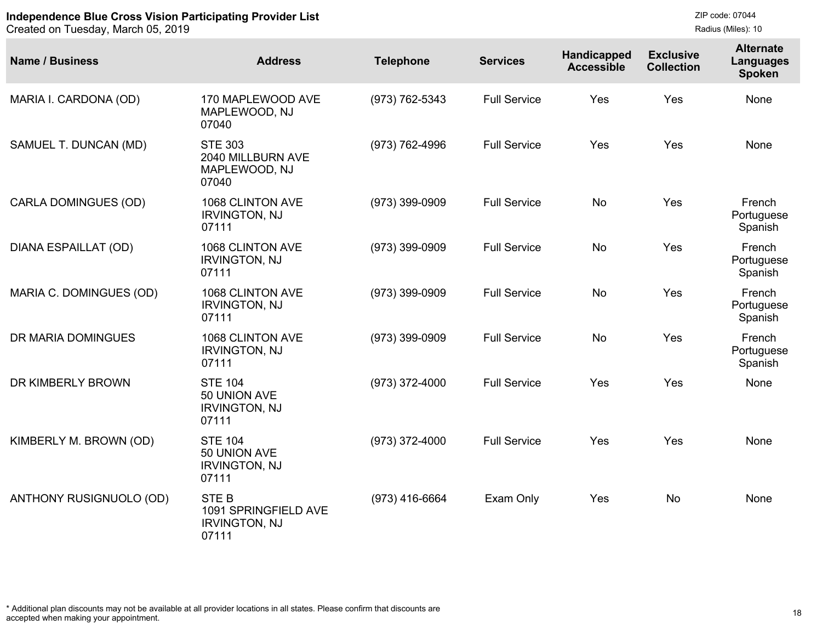| <b>Name / Business</b>      | <b>Address</b>                                                       | <b>Telephone</b> | <b>Services</b>     | Handicapped<br><b>Accessible</b> | <b>Exclusive</b><br><b>Collection</b> | <b>Alternate</b><br>Languages<br><b>Spoken</b> |
|-----------------------------|----------------------------------------------------------------------|------------------|---------------------|----------------------------------|---------------------------------------|------------------------------------------------|
| MARIA I. CARDONA (OD)       | 170 MAPLEWOOD AVE<br>MAPLEWOOD, NJ<br>07040                          | (973) 762-5343   | <b>Full Service</b> | Yes                              | Yes                                   | None                                           |
| SAMUEL T. DUNCAN (MD)       | <b>STE 303</b><br>2040 MILLBURN AVE<br>MAPLEWOOD, NJ<br>07040        | (973) 762-4996   | <b>Full Service</b> | Yes                              | Yes                                   | <b>None</b>                                    |
| <b>CARLA DOMINGUES (OD)</b> | 1068 CLINTON AVE<br><b>IRVINGTON, NJ</b><br>07111                    | (973) 399-0909   | <b>Full Service</b> | <b>No</b>                        | Yes                                   | French<br>Portuguese<br>Spanish                |
| <b>DIANA ESPAILLAT (OD)</b> | 1068 CLINTON AVE<br><b>IRVINGTON, NJ</b><br>07111                    | (973) 399-0909   | <b>Full Service</b> | <b>No</b>                        | Yes                                   | French<br>Portuguese<br>Spanish                |
| MARIA C. DOMINGUES (OD)     | 1068 CLINTON AVE<br><b>IRVINGTON, NJ</b><br>07111                    | (973) 399-0909   | <b>Full Service</b> | <b>No</b>                        | Yes                                   | French<br>Portuguese<br>Spanish                |
| DR MARIA DOMINGUES          | 1068 CLINTON AVE<br><b>IRVINGTON, NJ</b><br>07111                    | (973) 399-0909   | <b>Full Service</b> | <b>No</b>                        | Yes                                   | French<br>Portuguese<br>Spanish                |
| DR KIMBERLY BROWN           | <b>STE 104</b><br>50 UNION AVE<br><b>IRVINGTON, NJ</b><br>07111      | (973) 372-4000   | <b>Full Service</b> | Yes                              | Yes                                   | <b>None</b>                                    |
| KIMBERLY M. BROWN (OD)      | <b>STE 104</b><br>50 UNION AVE<br><b>IRVINGTON, NJ</b><br>07111      | (973) 372-4000   | <b>Full Service</b> | Yes                              | Yes                                   | None                                           |
| ANTHONY RUSIGNUOLO (OD)     | <b>STEB</b><br>1091 SPRINGFIELD AVE<br><b>IRVINGTON, NJ</b><br>07111 | $(973)$ 416-6664 | Exam Only           | Yes                              | <b>No</b>                             | None                                           |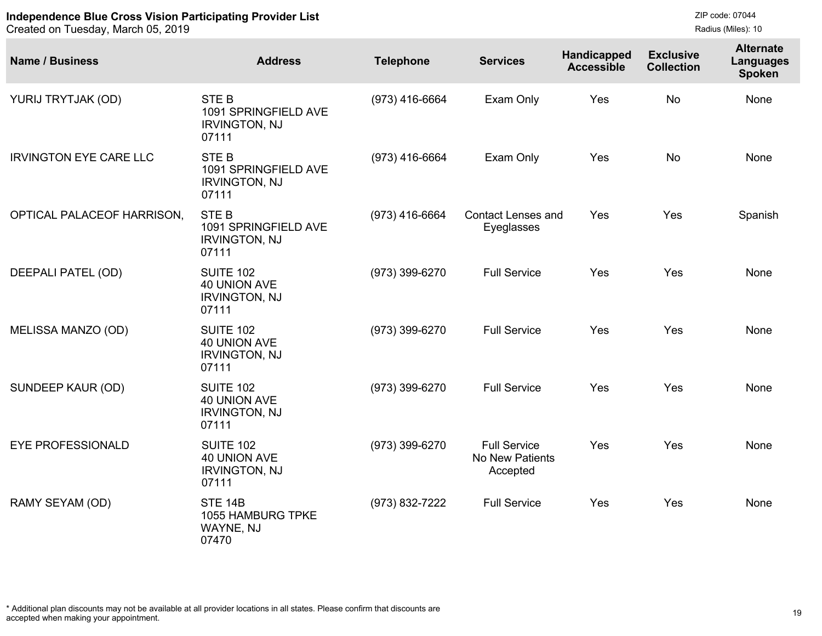Created on Tuesday, March 05, 2019

```
ZIP code: 07044
Radius (Miles): 10
```

| <b>Name / Business</b>        | <b>Address</b>                                                           | <b>Telephone</b> | <b>Services</b>                                    | Handicapped<br><b>Accessible</b> | <b>Exclusive</b><br><b>Collection</b> | <b>Alternate</b><br>Languages<br><b>Spoken</b> |
|-------------------------------|--------------------------------------------------------------------------|------------------|----------------------------------------------------|----------------------------------|---------------------------------------|------------------------------------------------|
| YURIJ TRYTJAK (OD)            | <b>STEB</b><br>1091 SPRINGFIELD AVE<br><b>IRVINGTON, NJ</b><br>07111     | (973) 416-6664   | Exam Only                                          | Yes                              | <b>No</b>                             | None                                           |
| <b>IRVINGTON EYE CARE LLC</b> | <b>STEB</b><br>1091 SPRINGFIELD AVE<br><b>IRVINGTON, NJ</b><br>07111     | (973) 416-6664   | Exam Only                                          | Yes                              | <b>No</b>                             | None                                           |
| OPTICAL PALACEOF HARRISON,    | <b>STEB</b><br>1091 SPRINGFIELD AVE<br><b>IRVINGTON, NJ</b><br>07111     | (973) 416-6664   | <b>Contact Lenses and</b><br>Eyeglasses            | Yes                              | Yes                                   | Spanish                                        |
| DEEPALI PATEL (OD)            | <b>SUITE 102</b><br><b>40 UNION AVE</b><br><b>IRVINGTON, NJ</b><br>07111 | (973) 399-6270   | <b>Full Service</b>                                | Yes                              | Yes                                   | None                                           |
| MELISSA MANZO (OD)            | <b>SUITE 102</b><br>40 UNION AVE<br><b>IRVINGTON, NJ</b><br>07111        | (973) 399-6270   | <b>Full Service</b>                                | Yes                              | Yes                                   | None                                           |
| SUNDEEP KAUR (OD)             | <b>SUITE 102</b><br>40 UNION AVE<br><b>IRVINGTON, NJ</b><br>07111        | (973) 399-6270   | <b>Full Service</b>                                | Yes                              | Yes                                   | <b>None</b>                                    |
| <b>EYE PROFESSIONALD</b>      | <b>SUITE 102</b><br>40 UNION AVE<br><b>IRVINGTON, NJ</b><br>07111        | (973) 399-6270   | <b>Full Service</b><br>No New Patients<br>Accepted | Yes                              | Yes                                   | None                                           |
| RAMY SEYAM (OD)               | <b>STE 14B</b><br>1055 HAMBURG TPKE<br>WAYNE, NJ<br>07470                | (973) 832-7222   | <b>Full Service</b>                                | Yes                              | Yes                                   | None                                           |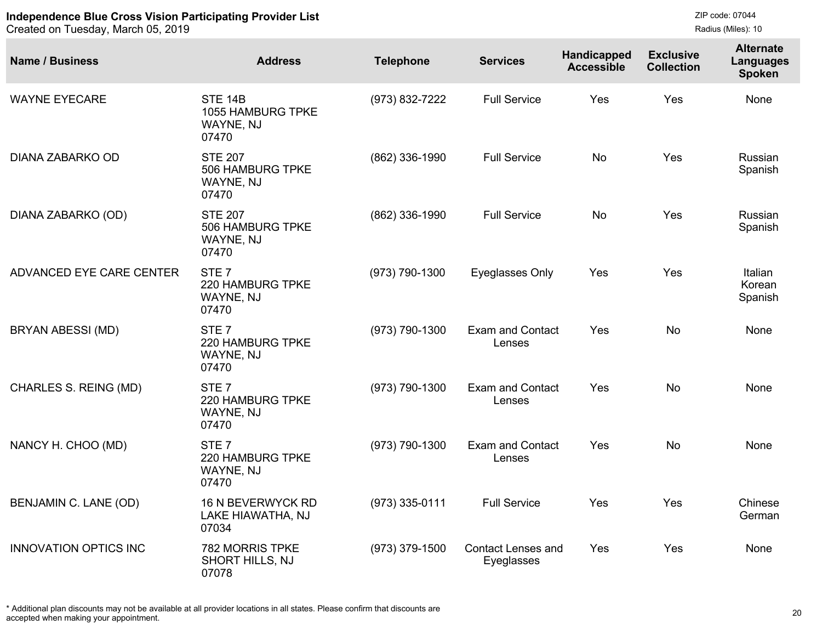Created on Tuesday, March 05, 2019

| <b>Name / Business</b>       | <b>Address</b>                                             | <b>Telephone</b> | <b>Services</b>                         | Handicapped<br><b>Accessible</b> | <b>Exclusive</b><br><b>Collection</b> | <b>Alternate</b><br>Languages<br><b>Spoken</b> |
|------------------------------|------------------------------------------------------------|------------------|-----------------------------------------|----------------------------------|---------------------------------------|------------------------------------------------|
| <b>WAYNE EYECARE</b>         | <b>STE 14B</b><br>1055 HAMBURG TPKE<br>WAYNE, NJ<br>07470  | (973) 832-7222   | <b>Full Service</b>                     | Yes                              | Yes                                   | None                                           |
| DIANA ZABARKO OD             | <b>STE 207</b><br>506 HAMBURG TPKE<br>WAYNE, NJ<br>07470   | (862) 336-1990   | <b>Full Service</b>                     | No                               | Yes                                   | Russian<br>Spanish                             |
| DIANA ZABARKO (OD)           | <b>STE 207</b><br>506 HAMBURG TPKE<br>WAYNE, NJ<br>07470   | (862) 336-1990   | <b>Full Service</b>                     | No                               | Yes                                   | Russian<br>Spanish                             |
| ADVANCED EYE CARE CENTER     | STE <sub>7</sub><br>220 HAMBURG TPKE<br>WAYNE, NJ<br>07470 | (973) 790-1300   | Eyeglasses Only                         | Yes                              | Yes                                   | Italian<br>Korean<br>Spanish                   |
| <b>BRYAN ABESSI (MD)</b>     | STE <sub>7</sub><br>220 HAMBURG TPKE<br>WAYNE, NJ<br>07470 | (973) 790-1300   | <b>Exam and Contact</b><br>Lenses       | Yes                              | <b>No</b>                             | None                                           |
| <b>CHARLES S. REING (MD)</b> | STE <sub>7</sub><br>220 HAMBURG TPKE<br>WAYNE, NJ<br>07470 | (973) 790-1300   | <b>Exam and Contact</b><br>Lenses       | Yes                              | <b>No</b>                             | None                                           |
| NANCY H. CHOO (MD)           | STE <sub>7</sub><br>220 HAMBURG TPKE<br>WAYNE, NJ<br>07470 | (973) 790-1300   | <b>Exam and Contact</b><br>Lenses       | Yes                              | <b>No</b>                             | None                                           |
| BENJAMIN C. LANE (OD)        | 16 N BEVERWYCK RD<br>LAKE HIAWATHA, NJ<br>07034            | (973) 335-0111   | <b>Full Service</b>                     | Yes                              | Yes                                   | Chinese<br>German                              |
| <b>INNOVATION OPTICS INC</b> | <b>782 MORRIS TPKE</b><br>SHORT HILLS, NJ<br>07078         | (973) 379-1500   | <b>Contact Lenses and</b><br>Eyeglasses | Yes                              | Yes                                   | None                                           |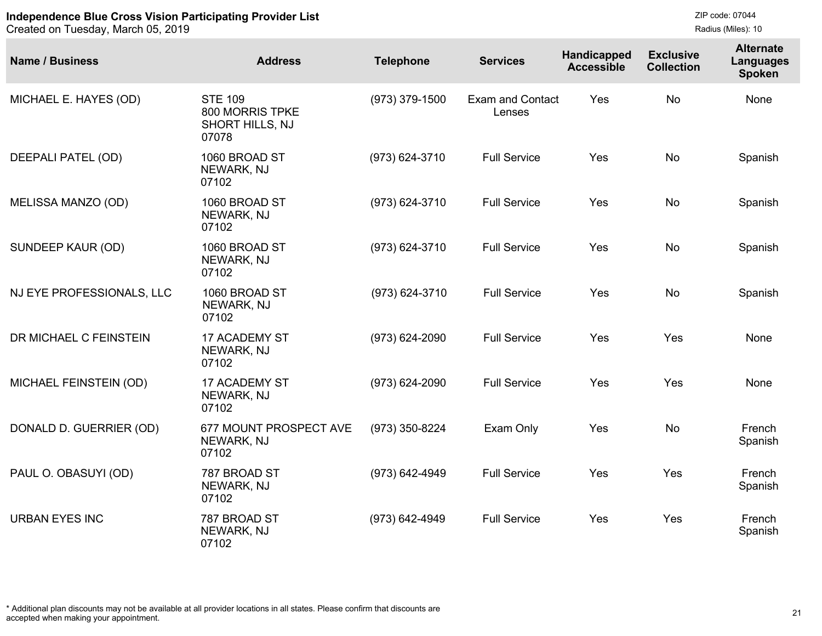```
ZIP code: 07044
Radius (Miles): 10
```

| <b>Name / Business</b>    | <b>Address</b>                                                       | <b>Telephone</b> | <b>Services</b>                   | Handicapped<br><b>Accessible</b> | <b>Exclusive</b><br><b>Collection</b> | <b>Alternate</b><br><b>Languages</b><br><b>Spoken</b> |
|---------------------------|----------------------------------------------------------------------|------------------|-----------------------------------|----------------------------------|---------------------------------------|-------------------------------------------------------|
| MICHAEL E. HAYES (OD)     | <b>STE 109</b><br>800 MORRIS TPKE<br><b>SHORT HILLS, NJ</b><br>07078 | (973) 379-1500   | <b>Exam and Contact</b><br>Lenses | Yes                              | <b>No</b>                             | None                                                  |
| DEEPALI PATEL (OD)        | 1060 BROAD ST<br>NEWARK, NJ<br>07102                                 | (973) 624-3710   | <b>Full Service</b>               | Yes                              | <b>No</b>                             | Spanish                                               |
| <b>MELISSA MANZO (OD)</b> | 1060 BROAD ST<br>NEWARK, NJ<br>07102                                 | (973) 624-3710   | <b>Full Service</b>               | Yes                              | <b>No</b>                             | Spanish                                               |
| SUNDEEP KAUR (OD)         | 1060 BROAD ST<br>NEWARK, NJ<br>07102                                 | (973) 624-3710   | <b>Full Service</b>               | Yes                              | <b>No</b>                             | Spanish                                               |
| NJ EYE PROFESSIONALS, LLC | 1060 BROAD ST<br>NEWARK, NJ<br>07102                                 | (973) 624-3710   | <b>Full Service</b>               | Yes                              | <b>No</b>                             | Spanish                                               |
| DR MICHAEL C FEINSTEIN    | 17 ACADEMY ST<br>NEWARK, NJ<br>07102                                 | (973) 624-2090   | <b>Full Service</b>               | Yes                              | Yes                                   | None                                                  |
| MICHAEL FEINSTEIN (OD)    | 17 ACADEMY ST<br>NEWARK, NJ<br>07102                                 | (973) 624-2090   | <b>Full Service</b>               | Yes                              | Yes                                   | None                                                  |
| DONALD D. GUERRIER (OD)   | 677 MOUNT PROSPECT AVE<br>NEWARK, NJ<br>07102                        | (973) 350-8224   | Exam Only                         | Yes                              | <b>No</b>                             | French<br>Spanish                                     |
| PAUL O. OBASUYI (OD)      | 787 BROAD ST<br>NEWARK, NJ<br>07102                                  | (973) 642-4949   | <b>Full Service</b>               | Yes                              | Yes                                   | French<br>Spanish                                     |
| <b>URBAN EYES INC</b>     | 787 BROAD ST<br>NEWARK, NJ<br>07102                                  | (973) 642-4949   | <b>Full Service</b>               | Yes                              | Yes                                   | French<br>Spanish                                     |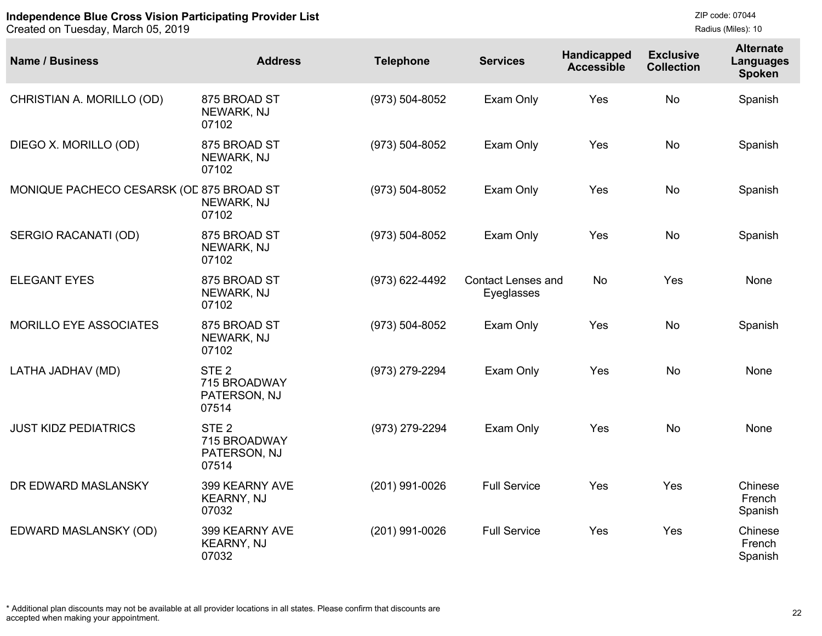Created on Tuesday, March 05, 2019

| <b>Name / Business</b>                   | <b>Address</b>                                            | <b>Telephone</b> | <b>Services</b>                         | Handicapped<br><b>Accessible</b> | <b>Exclusive</b><br><b>Collection</b> | <b>Alternate</b><br><b>Languages</b><br><b>Spoken</b> |
|------------------------------------------|-----------------------------------------------------------|------------------|-----------------------------------------|----------------------------------|---------------------------------------|-------------------------------------------------------|
| CHRISTIAN A. MORILLO (OD)                | 875 BROAD ST<br>NEWARK, NJ<br>07102                       | (973) 504-8052   | Exam Only                               | Yes                              | <b>No</b>                             | Spanish                                               |
| DIEGO X. MORILLO (OD)                    | 875 BROAD ST<br>NEWARK, NJ<br>07102                       | (973) 504-8052   | Exam Only                               | Yes                              | <b>No</b>                             | Spanish                                               |
| MONIQUE PACHECO CESARSK (OE 875 BROAD ST | NEWARK, NJ<br>07102                                       | (973) 504-8052   | Exam Only                               | Yes                              | <b>No</b>                             | Spanish                                               |
| SERGIO RACANATI (OD)                     | 875 BROAD ST<br>NEWARK, NJ<br>07102                       | (973) 504-8052   | Exam Only                               | Yes                              | <b>No</b>                             | Spanish                                               |
| <b>ELEGANT EYES</b>                      | 875 BROAD ST<br>NEWARK, NJ<br>07102                       | (973) 622-4492   | <b>Contact Lenses and</b><br>Eyeglasses | <b>No</b>                        | Yes                                   | None                                                  |
| <b>MORILLO EYE ASSOCIATES</b>            | 875 BROAD ST<br>NEWARK, NJ<br>07102                       | (973) 504-8052   | Exam Only                               | Yes                              | <b>No</b>                             | Spanish                                               |
| LATHA JADHAV (MD)                        | STE <sub>2</sub><br>715 BROADWAY<br>PATERSON, NJ<br>07514 | (973) 279-2294   | Exam Only                               | Yes                              | <b>No</b>                             | None                                                  |
| <b>JUST KIDZ PEDIATRICS</b>              | STE <sub>2</sub><br>715 BROADWAY<br>PATERSON, NJ<br>07514 | (973) 279-2294   | Exam Only                               | Yes                              | <b>No</b>                             | None                                                  |
| DR EDWARD MASLANSKY                      | 399 KEARNY AVE<br>KEARNY, NJ<br>07032                     | (201) 991-0026   | <b>Full Service</b>                     | Yes                              | Yes                                   | Chinese<br>French<br>Spanish                          |
| EDWARD MASLANSKY (OD)                    | 399 KEARNY AVE<br><b>KEARNY, NJ</b><br>07032              | (201) 991-0026   | <b>Full Service</b>                     | Yes                              | Yes                                   | Chinese<br>French<br>Spanish                          |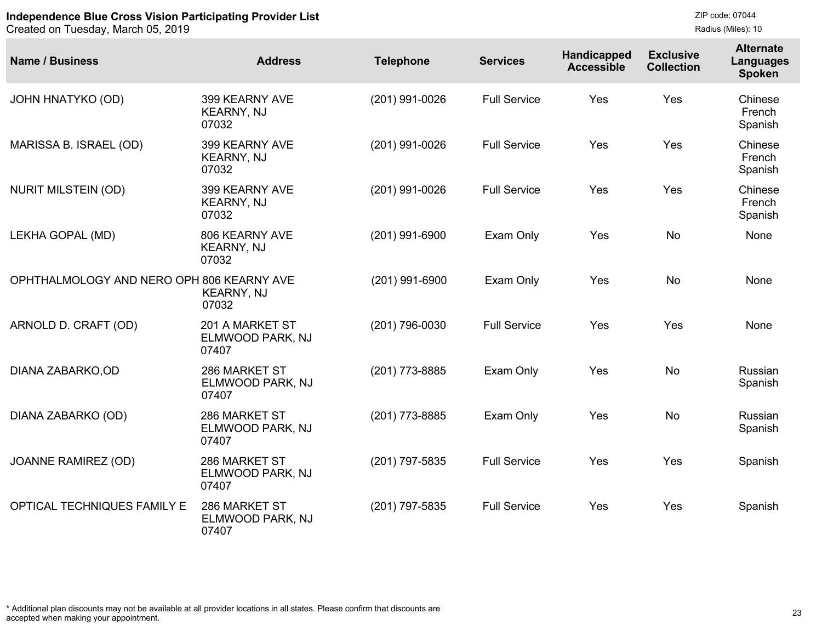| <b>Name / Business</b>                    | <b>Address</b>                               | <b>Telephone</b> | <b>Services</b>     | Handicapped<br><b>Accessible</b> | <b>Exclusive</b><br><b>Collection</b> | <b>Alternate</b><br><b>Languages</b><br><b>Spoken</b> |
|-------------------------------------------|----------------------------------------------|------------------|---------------------|----------------------------------|---------------------------------------|-------------------------------------------------------|
| <b>JOHN HNATYKO (OD)</b>                  | 399 KEARNY AVE<br><b>KEARNY, NJ</b><br>07032 | (201) 991-0026   | <b>Full Service</b> | Yes                              | Yes                                   | Chinese<br>French<br>Spanish                          |
| MARISSA B. ISRAEL (OD)                    | 399 KEARNY AVE<br><b>KEARNY, NJ</b><br>07032 | (201) 991-0026   | <b>Full Service</b> | Yes                              | Yes                                   | Chinese<br>French<br>Spanish                          |
| <b>NURIT MILSTEIN (OD)</b>                | 399 KEARNY AVE<br><b>KEARNY, NJ</b><br>07032 | (201) 991-0026   | <b>Full Service</b> | Yes                              | Yes                                   | Chinese<br>French<br>Spanish                          |
| LEKHA GOPAL (MD)                          | 806 KEARNY AVE<br><b>KEARNY, NJ</b><br>07032 | (201) 991-6900   | Exam Only           | Yes                              | <b>No</b>                             | None                                                  |
| OPHTHALMOLOGY AND NERO OPH 806 KEARNY AVE | <b>KEARNY, NJ</b><br>07032                   | (201) 991-6900   | Exam Only           | Yes                              | <b>No</b>                             | None                                                  |
| ARNOLD D. CRAFT (OD)                      | 201 A MARKET ST<br>ELMWOOD PARK, NJ<br>07407 | (201) 796-0030   | <b>Full Service</b> | Yes                              | Yes                                   | None                                                  |
| DIANA ZABARKO, OD                         | 286 MARKET ST<br>ELMWOOD PARK, NJ<br>07407   | (201) 773-8885   | Exam Only           | Yes                              | <b>No</b>                             | Russian<br>Spanish                                    |
| DIANA ZABARKO (OD)                        | 286 MARKET ST<br>ELMWOOD PARK, NJ<br>07407   | (201) 773-8885   | Exam Only           | Yes                              | <b>No</b>                             | Russian<br>Spanish                                    |
| <b>JOANNE RAMIREZ (OD)</b>                | 286 MARKET ST<br>ELMWOOD PARK, NJ<br>07407   | (201) 797-5835   | <b>Full Service</b> | Yes                              | Yes                                   | Spanish                                               |
| <b>OPTICAL TECHNIQUES FAMILY E</b>        | 286 MARKET ST<br>ELMWOOD PARK, NJ<br>07407   | (201) 797-5835   | <b>Full Service</b> | Yes                              | Yes                                   | Spanish                                               |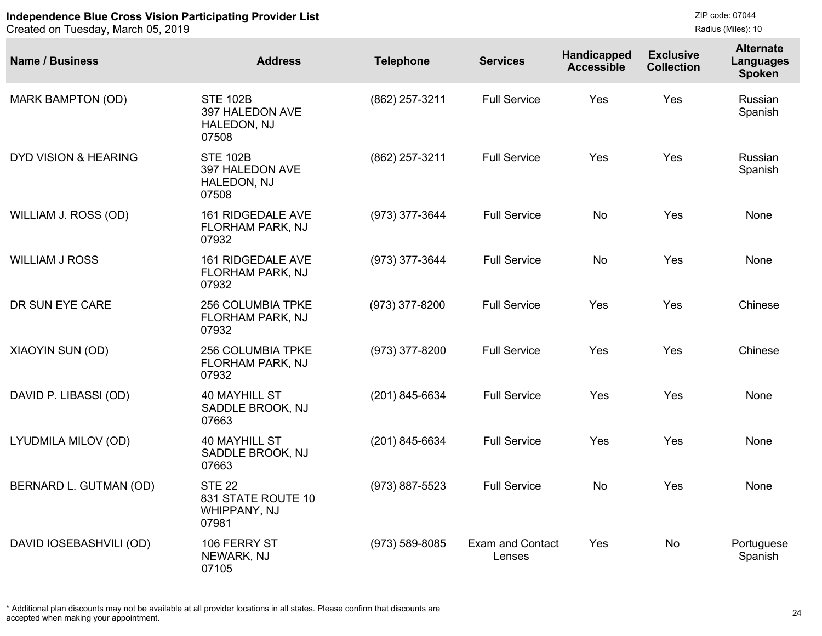Created on Tuesday, March 05, 2019

| <b>Name / Business</b>          | <b>Address</b>                                               | <b>Telephone</b> | <b>Services</b>                   | Handicapped<br><b>Accessible</b> | <b>Exclusive</b><br><b>Collection</b> | <b>Alternate</b><br><b>Languages</b><br><b>Spoken</b> |
|---------------------------------|--------------------------------------------------------------|------------------|-----------------------------------|----------------------------------|---------------------------------------|-------------------------------------------------------|
| MARK BAMPTON (OD)               | <b>STE 102B</b><br>397 HALEDON AVE<br>HALEDON, NJ<br>07508   | (862) 257-3211   | <b>Full Service</b>               | Yes                              | Yes                                   | Russian<br>Spanish                                    |
| <b>DYD VISION &amp; HEARING</b> | <b>STE 102B</b><br>397 HALEDON AVE<br>HALEDON, NJ<br>07508   | (862) 257-3211   | <b>Full Service</b>               | Yes                              | Yes                                   | Russian<br>Spanish                                    |
| WILLIAM J. ROSS (OD)            | 161 RIDGEDALE AVE<br>FLORHAM PARK, NJ<br>07932               | (973) 377-3644   | <b>Full Service</b>               | <b>No</b>                        | Yes                                   | None                                                  |
| <b>WILLIAM J ROSS</b>           | 161 RIDGEDALE AVE<br>FLORHAM PARK, NJ<br>07932               | (973) 377-3644   | <b>Full Service</b>               | <b>No</b>                        | Yes                                   | None                                                  |
| DR SUN EYE CARE                 | 256 COLUMBIA TPKE<br>FLORHAM PARK, NJ<br>07932               | (973) 377-8200   | <b>Full Service</b>               | Yes                              | Yes                                   | Chinese                                               |
| XIAOYIN SUN (OD)                | 256 COLUMBIA TPKE<br>FLORHAM PARK, NJ<br>07932               | (973) 377-8200   | <b>Full Service</b>               | Yes                              | Yes                                   | Chinese                                               |
| DAVID P. LIBASSI (OD)           | <b>40 MAYHILL ST</b><br>SADDLE BROOK, NJ<br>07663            | (201) 845-6634   | <b>Full Service</b>               | Yes                              | Yes                                   | None                                                  |
| LYUDMILA MILOV (OD)             | <b>40 MAYHILL ST</b><br>SADDLE BROOK, NJ<br>07663            | (201) 845-6634   | <b>Full Service</b>               | Yes                              | Yes                                   | None                                                  |
| BERNARD L. GUTMAN (OD)          | <b>STE 22</b><br>831 STATE ROUTE 10<br>WHIPPANY, NJ<br>07981 | (973) 887-5523   | <b>Full Service</b>               | No                               | Yes                                   | None                                                  |
| DAVID IOSEBASHVILI (OD)         | 106 FERRY ST<br>NEWARK, NJ<br>07105                          | (973) 589-8085   | <b>Exam and Contact</b><br>Lenses | Yes                              | <b>No</b>                             | Portuguese<br>Spanish                                 |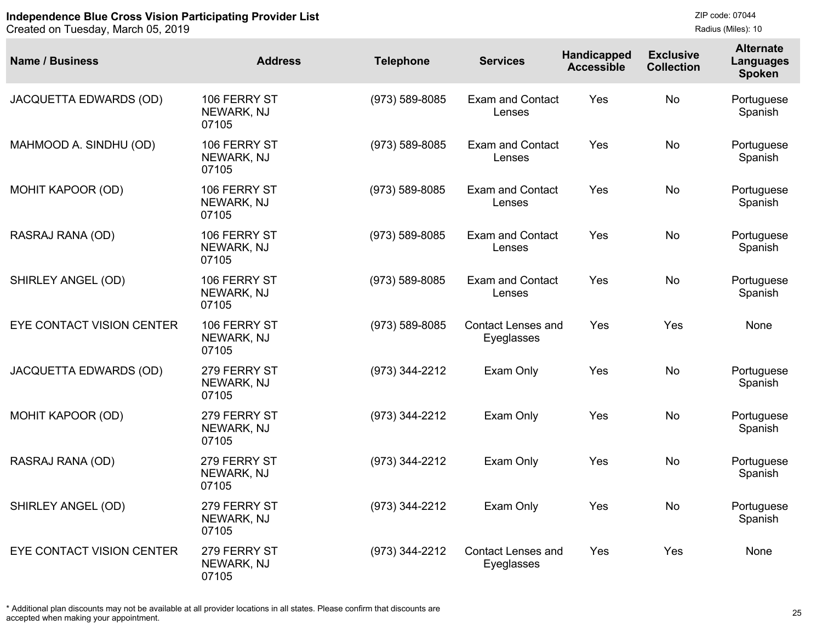Created on Tuesday, March 05, 2019

| <b>Name / Business</b>    | <b>Address</b>                      | <b>Telephone</b>   | <b>Services</b>                         | Handicapped<br><b>Accessible</b> | <b>Exclusive</b><br><b>Collection</b> | <b>Alternate</b><br>Languages<br>Spoken |
|---------------------------|-------------------------------------|--------------------|-----------------------------------------|----------------------------------|---------------------------------------|-----------------------------------------|
| JACQUETTA EDWARDS (OD)    | 106 FERRY ST<br>NEWARK, NJ<br>07105 | (973) 589-8085     | <b>Exam and Contact</b><br>Lenses       | Yes                              | <b>No</b>                             | Portuguese<br>Spanish                   |
| MAHMOOD A. SINDHU (OD)    | 106 FERRY ST<br>NEWARK, NJ<br>07105 | (973) 589-8085     | <b>Exam and Contact</b><br>Lenses       | Yes                              | <b>No</b>                             | Portuguese<br>Spanish                   |
| MOHIT KAPOOR (OD)         | 106 FERRY ST<br>NEWARK, NJ<br>07105 | (973) 589-8085     | <b>Exam and Contact</b><br>Lenses       | Yes                              | <b>No</b>                             | Portuguese<br>Spanish                   |
| RASRAJ RANA (OD)          | 106 FERRY ST<br>NEWARK, NJ<br>07105 | (973) 589-8085     | <b>Exam and Contact</b><br>Lenses       | Yes                              | <b>No</b>                             | Portuguese<br>Spanish                   |
| SHIRLEY ANGEL (OD)        | 106 FERRY ST<br>NEWARK, NJ<br>07105 | $(973) 589 - 8085$ | <b>Exam and Contact</b><br>Lenses       | Yes                              | <b>No</b>                             | Portuguese<br>Spanish                   |
| EYE CONTACT VISION CENTER | 106 FERRY ST<br>NEWARK, NJ<br>07105 | (973) 589-8085     | <b>Contact Lenses and</b><br>Eyeglasses | Yes                              | Yes                                   | None                                    |
| JACQUETTA EDWARDS (OD)    | 279 FERRY ST<br>NEWARK, NJ<br>07105 | (973) 344-2212     | Exam Only                               | Yes                              | <b>No</b>                             | Portuguese<br>Spanish                   |
| <b>MOHIT KAPOOR (OD)</b>  | 279 FERRY ST<br>NEWARK, NJ<br>07105 | (973) 344-2212     | Exam Only                               | Yes                              | <b>No</b>                             | Portuguese<br>Spanish                   |
| RASRAJ RANA (OD)          | 279 FERRY ST<br>NEWARK, NJ<br>07105 | (973) 344-2212     | Exam Only                               | Yes                              | <b>No</b>                             | Portuguese<br>Spanish                   |
| SHIRLEY ANGEL (OD)        | 279 FERRY ST<br>NEWARK, NJ<br>07105 | (973) 344-2212     | Exam Only                               | Yes                              | <b>No</b>                             | Portuguese<br>Spanish                   |
| EYE CONTACT VISION CENTER | 279 FERRY ST<br>NEWARK, NJ<br>07105 | (973) 344-2212     | <b>Contact Lenses and</b><br>Eyeglasses | Yes                              | Yes                                   | None                                    |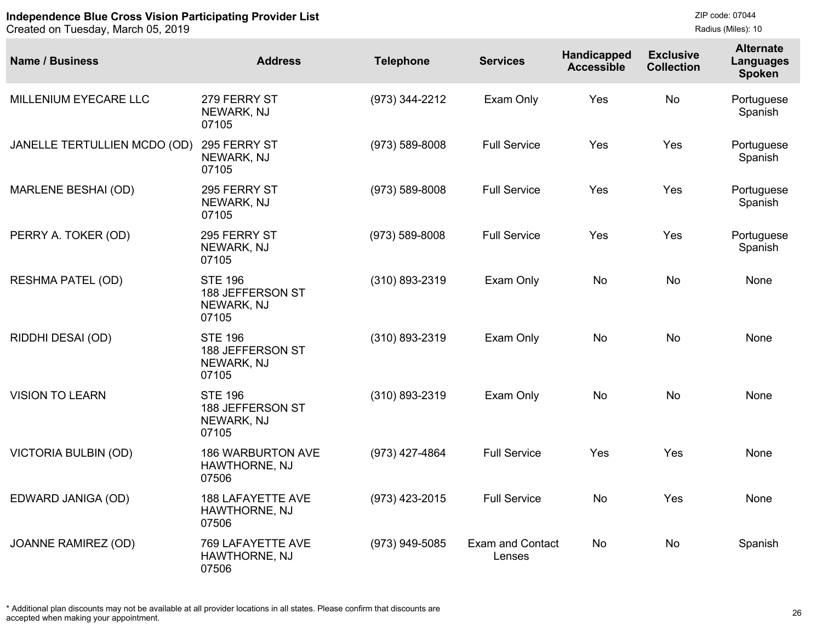| <b>Name / Business</b>       | <b>Address</b>                                            | <b>Telephone</b> | <b>Services</b>                   | Handicapped<br><b>Accessible</b> | <b>Exclusive</b><br><b>Collection</b> | <b>Alternate</b><br><b>Languages</b><br><b>Spoken</b> |
|------------------------------|-----------------------------------------------------------|------------------|-----------------------------------|----------------------------------|---------------------------------------|-------------------------------------------------------|
| MILLENIUM EYECARE LLC        | 279 FERRY ST<br>NEWARK, NJ<br>07105                       | (973) 344-2212   | Exam Only                         | Yes                              | No                                    | Portuguese<br>Spanish                                 |
| JANELLE TERTULLIEN MCDO (OD) | 295 FERRY ST<br>NEWARK, NJ<br>07105                       | (973) 589-8008   | <b>Full Service</b>               | Yes                              | Yes                                   | Portuguese<br>Spanish                                 |
| <b>MARLENE BESHAI (OD)</b>   | 295 FERRY ST<br>NEWARK, NJ<br>07105                       | (973) 589-8008   | <b>Full Service</b>               | Yes                              | Yes                                   | Portuguese<br>Spanish                                 |
| PERRY A. TOKER (OD)          | 295 FERRY ST<br>NEWARK, NJ<br>07105                       | (973) 589-8008   | <b>Full Service</b>               | Yes                              | Yes                                   | Portuguese<br>Spanish                                 |
| <b>RESHMA PATEL (OD)</b>     | <b>STE 196</b><br>188 JEFFERSON ST<br>NEWARK, NJ<br>07105 | (310) 893-2319   | Exam Only                         | <b>No</b>                        | <b>No</b>                             | None                                                  |
| RIDDHI DESAI (OD)            | <b>STE 196</b><br>188 JEFFERSON ST<br>NEWARK, NJ<br>07105 | (310) 893-2319   | Exam Only                         | <b>No</b>                        | <b>No</b>                             | None                                                  |
| <b>VISION TO LEARN</b>       | <b>STE 196</b><br>188 JEFFERSON ST<br>NEWARK, NJ<br>07105 | (310) 893-2319   | Exam Only                         | <b>No</b>                        | <b>No</b>                             | None                                                  |
| <b>VICTORIA BULBIN (OD)</b>  | <b>186 WARBURTON AVE</b><br>HAWTHORNE, NJ<br>07506        | (973) 427-4864   | <b>Full Service</b>               | Yes                              | Yes                                   | None                                                  |
| EDWARD JANIGA (OD)           | <b>188 LAFAYETTE AVE</b><br>HAWTHORNE, NJ<br>07506        | (973) 423-2015   | <b>Full Service</b>               | <b>No</b>                        | Yes                                   | None                                                  |
| <b>JOANNE RAMIREZ (OD)</b>   | 769 LAFAYETTE AVE<br>HAWTHORNE, NJ<br>07506               | (973) 949-5085   | <b>Exam and Contact</b><br>Lenses | No                               | <b>No</b>                             | Spanish                                               |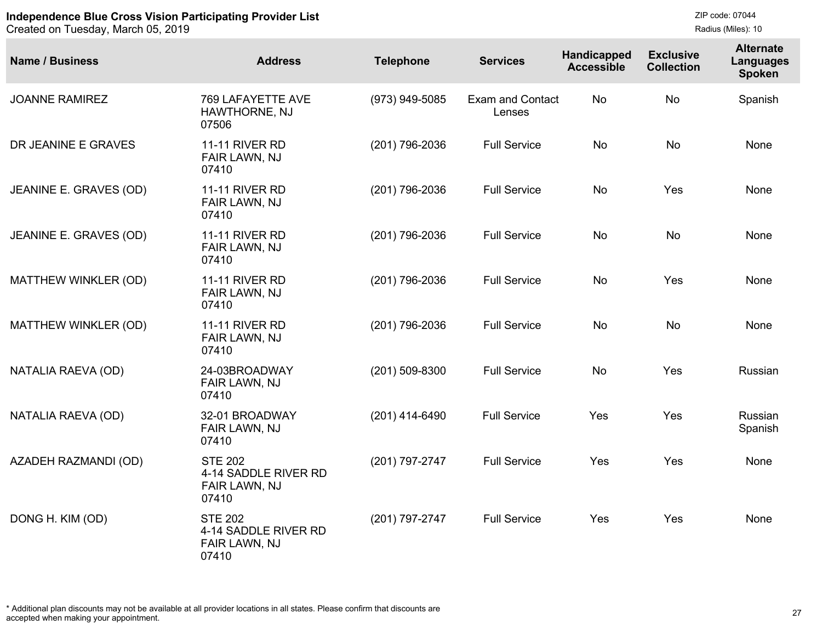```
ZIP code: 07044
Radius (Miles): 10
```

| <b>Name / Business</b> | <b>Address</b>                                                   | <b>Telephone</b> | <b>Services</b>                   | Handicapped<br><b>Accessible</b> | <b>Exclusive</b><br><b>Collection</b> | <b>Alternate</b><br><b>Languages</b><br><b>Spoken</b> |
|------------------------|------------------------------------------------------------------|------------------|-----------------------------------|----------------------------------|---------------------------------------|-------------------------------------------------------|
| <b>JOANNE RAMIREZ</b>  | 769 LAFAYETTE AVE<br>HAWTHORNE, NJ<br>07506                      | (973) 949-5085   | <b>Exam and Contact</b><br>Lenses | No                               | <b>No</b>                             | Spanish                                               |
| DR JEANINE E GRAVES    | <b>11-11 RIVER RD</b><br>FAIR LAWN, NJ<br>07410                  | (201) 796-2036   | <b>Full Service</b>               | <b>No</b>                        | <b>No</b>                             | None                                                  |
| JEANINE E. GRAVES (OD) | <b>11-11 RIVER RD</b><br>FAIR LAWN, NJ<br>07410                  | (201) 796-2036   | <b>Full Service</b>               | <b>No</b>                        | Yes                                   | None                                                  |
| JEANINE E. GRAVES (OD) | <b>11-11 RIVER RD</b><br>FAIR LAWN, NJ<br>07410                  | (201) 796-2036   | <b>Full Service</b>               | <b>No</b>                        | <b>No</b>                             | None                                                  |
| MATTHEW WINKLER (OD)   | <b>11-11 RIVER RD</b><br>FAIR LAWN, NJ<br>07410                  | (201) 796-2036   | <b>Full Service</b>               | <b>No</b>                        | Yes                                   | None                                                  |
| MATTHEW WINKLER (OD)   | <b>11-11 RIVER RD</b><br>FAIR LAWN, NJ<br>07410                  | (201) 796-2036   | <b>Full Service</b>               | <b>No</b>                        | <b>No</b>                             | None                                                  |
| NATALIA RAEVA (OD)     | 24-03BROADWAY<br>FAIR LAWN, NJ<br>07410                          | $(201)$ 509-8300 | <b>Full Service</b>               | No                               | Yes                                   | Russian                                               |
| NATALIA RAEVA (OD)     | 32-01 BROADWAY<br>FAIR LAWN, NJ<br>07410                         | $(201)$ 414-6490 | <b>Full Service</b>               | Yes                              | Yes                                   | Russian<br>Spanish                                    |
| AZADEH RAZMANDI (OD)   | <b>STE 202</b><br>4-14 SADDLE RIVER RD<br>FAIR LAWN, NJ<br>07410 | (201) 797-2747   | <b>Full Service</b>               | Yes                              | Yes                                   | None                                                  |
| DONG H. KIM (OD)       | <b>STE 202</b><br>4-14 SADDLE RIVER RD<br>FAIR LAWN, NJ<br>07410 | (201) 797-2747   | <b>Full Service</b>               | Yes                              | Yes                                   | None                                                  |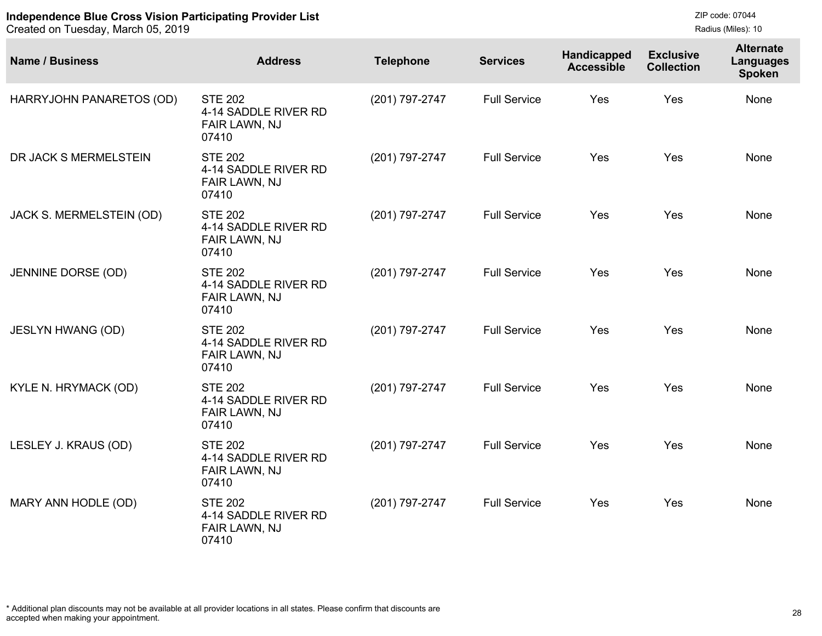| <b>Name / Business</b>   | <b>Address</b>                                                   | <b>Telephone</b> | <b>Services</b>     | Handicapped<br><b>Accessible</b> | <b>Exclusive</b><br><b>Collection</b> | <b>Alternate</b><br>Languages<br><b>Spoken</b> |
|--------------------------|------------------------------------------------------------------|------------------|---------------------|----------------------------------|---------------------------------------|------------------------------------------------|
| HARRYJOHN PANARETOS (OD) | <b>STE 202</b><br>4-14 SADDLE RIVER RD<br>FAIR LAWN, NJ<br>07410 | (201) 797-2747   | <b>Full Service</b> | Yes                              | Yes                                   | None                                           |
| DR JACK S MERMELSTEIN    | <b>STE 202</b><br>4-14 SADDLE RIVER RD<br>FAIR LAWN, NJ<br>07410 | (201) 797-2747   | <b>Full Service</b> | Yes                              | Yes                                   | None                                           |
| JACK S. MERMELSTEIN (OD) | <b>STE 202</b><br>4-14 SADDLE RIVER RD<br>FAIR LAWN, NJ<br>07410 | (201) 797-2747   | <b>Full Service</b> | Yes                              | Yes                                   | None                                           |
| JENNINE DORSE (OD)       | <b>STE 202</b><br>4-14 SADDLE RIVER RD<br>FAIR LAWN, NJ<br>07410 | (201) 797-2747   | <b>Full Service</b> | Yes                              | Yes                                   | None                                           |
| <b>JESLYN HWANG (OD)</b> | <b>STE 202</b><br>4-14 SADDLE RIVER RD<br>FAIR LAWN, NJ<br>07410 | (201) 797-2747   | <b>Full Service</b> | Yes                              | Yes                                   | None                                           |
| KYLE N. HRYMACK (OD)     | <b>STE 202</b><br>4-14 SADDLE RIVER RD<br>FAIR LAWN, NJ<br>07410 | (201) 797-2747   | <b>Full Service</b> | Yes                              | Yes                                   | None                                           |
| LESLEY J. KRAUS (OD)     | <b>STE 202</b><br>4-14 SADDLE RIVER RD<br>FAIR LAWN, NJ<br>07410 | (201) 797-2747   | <b>Full Service</b> | Yes                              | Yes                                   | None                                           |
| MARY ANN HODLE (OD)      | <b>STE 202</b><br>4-14 SADDLE RIVER RD<br>FAIR LAWN, NJ<br>07410 | (201) 797-2747   | <b>Full Service</b> | Yes                              | Yes                                   | None                                           |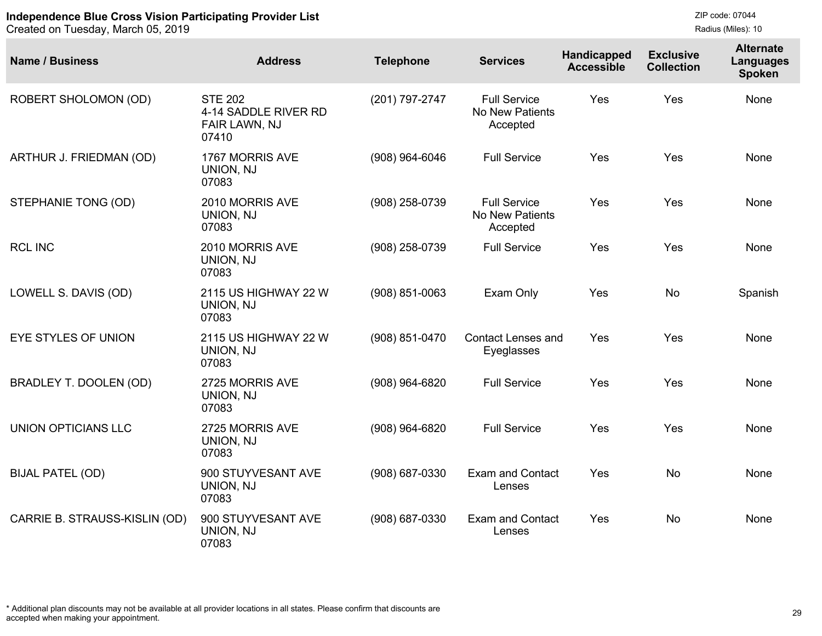```
ZIP code: 07044
Radius (Miles): 10
```

| <b>Name / Business</b>        | <b>Address</b>                                                   | <b>Telephone</b> | <b>Services</b>                                           | <b>Handicapped</b><br><b>Accessible</b> | <b>Exclusive</b><br><b>Collection</b> | <b>Alternate</b><br>Languages<br><b>Spoken</b> |
|-------------------------------|------------------------------------------------------------------|------------------|-----------------------------------------------------------|-----------------------------------------|---------------------------------------|------------------------------------------------|
| ROBERT SHOLOMON (OD)          | <b>STE 202</b><br>4-14 SADDLE RIVER RD<br>FAIR LAWN, NJ<br>07410 | (201) 797-2747   | <b>Full Service</b><br><b>No New Patients</b><br>Accepted | Yes                                     | Yes                                   | None                                           |
| ARTHUR J. FRIEDMAN (OD)       | 1767 MORRIS AVE<br>UNION, NJ<br>07083                            | $(908)$ 964-6046 | <b>Full Service</b>                                       | Yes                                     | Yes                                   | None                                           |
| STEPHANIE TONG (OD)           | 2010 MORRIS AVE<br>UNION, NJ<br>07083                            | (908) 258-0739   | <b>Full Service</b><br>No New Patients<br>Accepted        | Yes                                     | Yes                                   | None                                           |
| <b>RCL INC</b>                | 2010 MORRIS AVE<br>UNION, NJ<br>07083                            | (908) 258-0739   | <b>Full Service</b>                                       | Yes                                     | Yes                                   | None                                           |
| LOWELL S. DAVIS (OD)          | 2115 US HIGHWAY 22 W<br>UNION, NJ<br>07083                       | $(908)$ 851-0063 | Exam Only                                                 | Yes                                     | <b>No</b>                             | Spanish                                        |
| EYE STYLES OF UNION           | 2115 US HIGHWAY 22 W<br>UNION, NJ<br>07083                       | (908) 851-0470   | <b>Contact Lenses and</b><br>Eyeglasses                   | Yes                                     | Yes                                   | None                                           |
| BRADLEY T. DOOLEN (OD)        | 2725 MORRIS AVE<br>UNION, NJ<br>07083                            | (908) 964-6820   | <b>Full Service</b>                                       | Yes                                     | Yes                                   | None                                           |
| <b>UNION OPTICIANS LLC</b>    | 2725 MORRIS AVE<br>UNION, NJ<br>07083                            | (908) 964-6820   | <b>Full Service</b>                                       | Yes                                     | Yes                                   | None                                           |
| <b>BIJAL PATEL (OD)</b>       | 900 STUYVESANT AVE<br>UNION, NJ<br>07083                         | (908) 687-0330   | <b>Exam and Contact</b><br>Lenses                         | Yes                                     | <b>No</b>                             | None                                           |
| CARRIE B. STRAUSS-KISLIN (OD) | 900 STUYVESANT AVE<br>UNION, NJ<br>07083                         | (908) 687-0330   | <b>Exam and Contact</b><br>Lenses                         | Yes                                     | <b>No</b>                             | None                                           |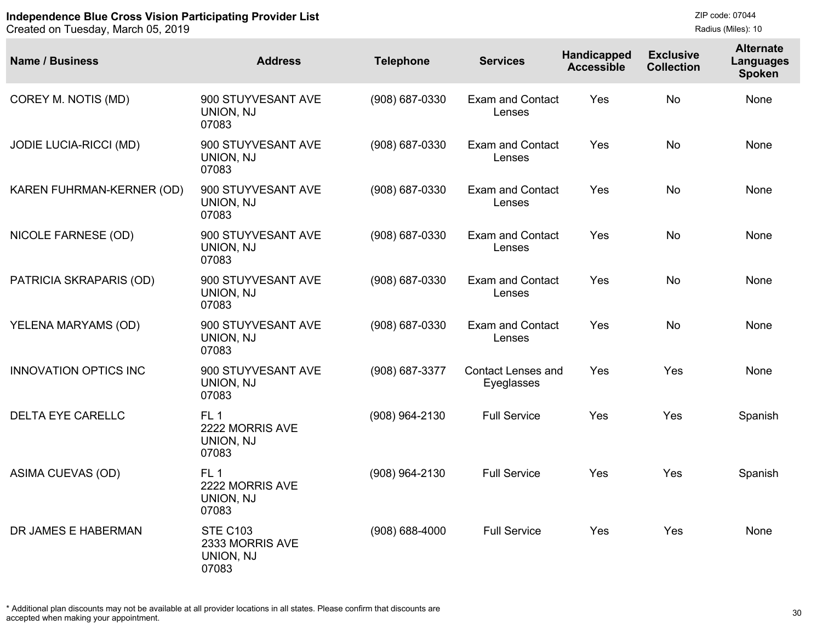Created on Tuesday, March 05, 2019

ZIP code: 07044 Radius (Miles): 10

| <b>Name / Business</b>        | <b>Address</b>                                           | <b>Telephone</b>   | <b>Services</b>                         | Handicapped<br><b>Accessible</b> | <b>Exclusive</b><br><b>Collection</b> | <b>Alternate</b><br>Languages<br><b>Spoken</b> |
|-------------------------------|----------------------------------------------------------|--------------------|-----------------------------------------|----------------------------------|---------------------------------------|------------------------------------------------|
| COREY M. NOTIS (MD)           | 900 STUYVESANT AVE<br>UNION, NJ<br>07083                 | (908) 687-0330     | <b>Exam and Contact</b><br>Lenses       | Yes                              | <b>No</b>                             | <b>None</b>                                    |
| <b>JODIE LUCIA-RICCI (MD)</b> | 900 STUYVESANT AVE<br>UNION, NJ<br>07083                 | (908) 687-0330     | <b>Exam and Contact</b><br>Lenses       | Yes                              | <b>No</b>                             | None                                           |
| KAREN FUHRMAN-KERNER (OD)     | 900 STUYVESANT AVE<br>UNION, NJ<br>07083                 | (908) 687-0330     | <b>Exam and Contact</b><br>Lenses       | Yes                              | <b>No</b>                             | None                                           |
| <b>NICOLE FARNESE (OD)</b>    | 900 STUYVESANT AVE<br>UNION, NJ<br>07083                 | (908) 687-0330     | <b>Exam and Contact</b><br>Lenses       | Yes                              | <b>No</b>                             | None                                           |
| PATRICIA SKRAPARIS (OD)       | 900 STUYVESANT AVE<br>UNION, NJ<br>07083                 | (908) 687-0330     | <b>Exam and Contact</b><br>Lenses       | Yes                              | <b>No</b>                             | None                                           |
| YELENA MARYAMS (OD)           | 900 STUYVESANT AVE<br>UNION, NJ<br>07083                 | (908) 687-0330     | <b>Exam and Contact</b><br>Lenses       | <b>Yes</b>                       | <b>No</b>                             | None                                           |
| <b>INNOVATION OPTICS INC</b>  | 900 STUYVESANT AVE<br>UNION, NJ<br>07083                 | (908) 687-3377     | <b>Contact Lenses and</b><br>Eyeglasses | Yes                              | Yes                                   | None                                           |
| <b>DELTA EYE CARELLC</b>      | FL <sub>1</sub><br>2222 MORRIS AVE<br>UNION, NJ<br>07083 | (908) 964-2130     | <b>Full Service</b>                     | Yes                              | Yes                                   | Spanish                                        |
| ASIMA CUEVAS (OD)             | FL <sub>1</sub><br>2222 MORRIS AVE<br>UNION, NJ<br>07083 | (908) 964-2130     | <b>Full Service</b>                     | Yes                              | Yes                                   | Spanish                                        |
| DR JAMES E HABERMAN           | <b>STE C103</b><br>2333 MORRIS AVE<br>UNION, NJ<br>07083 | $(908) 688 - 4000$ | <b>Full Service</b>                     | Yes                              | Yes                                   | None                                           |